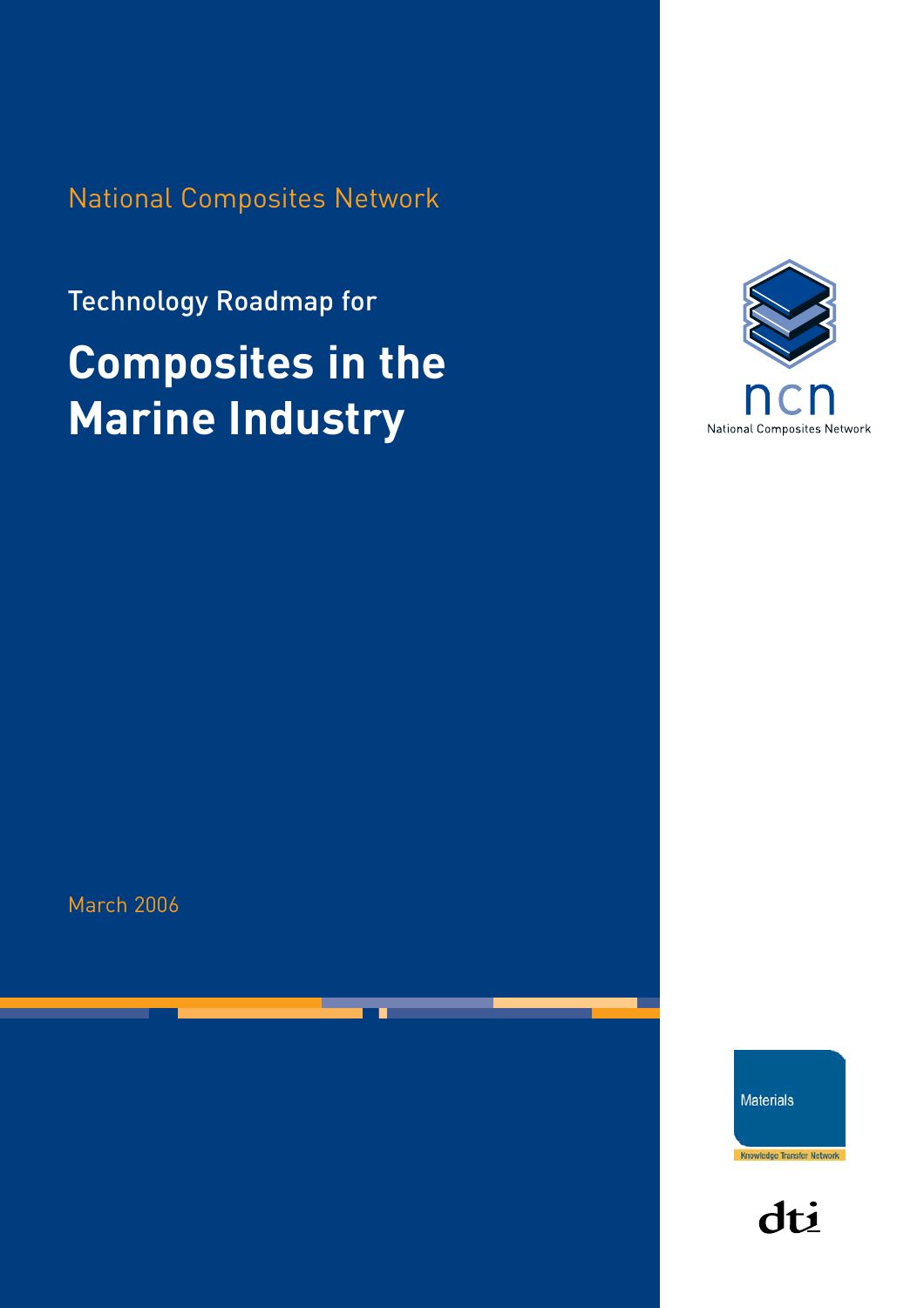National Composites Network

# Technology Roadmap for **Composites in the Marine Industry**



March 2006

**Materials** 

Knowledge Transfer Network

dti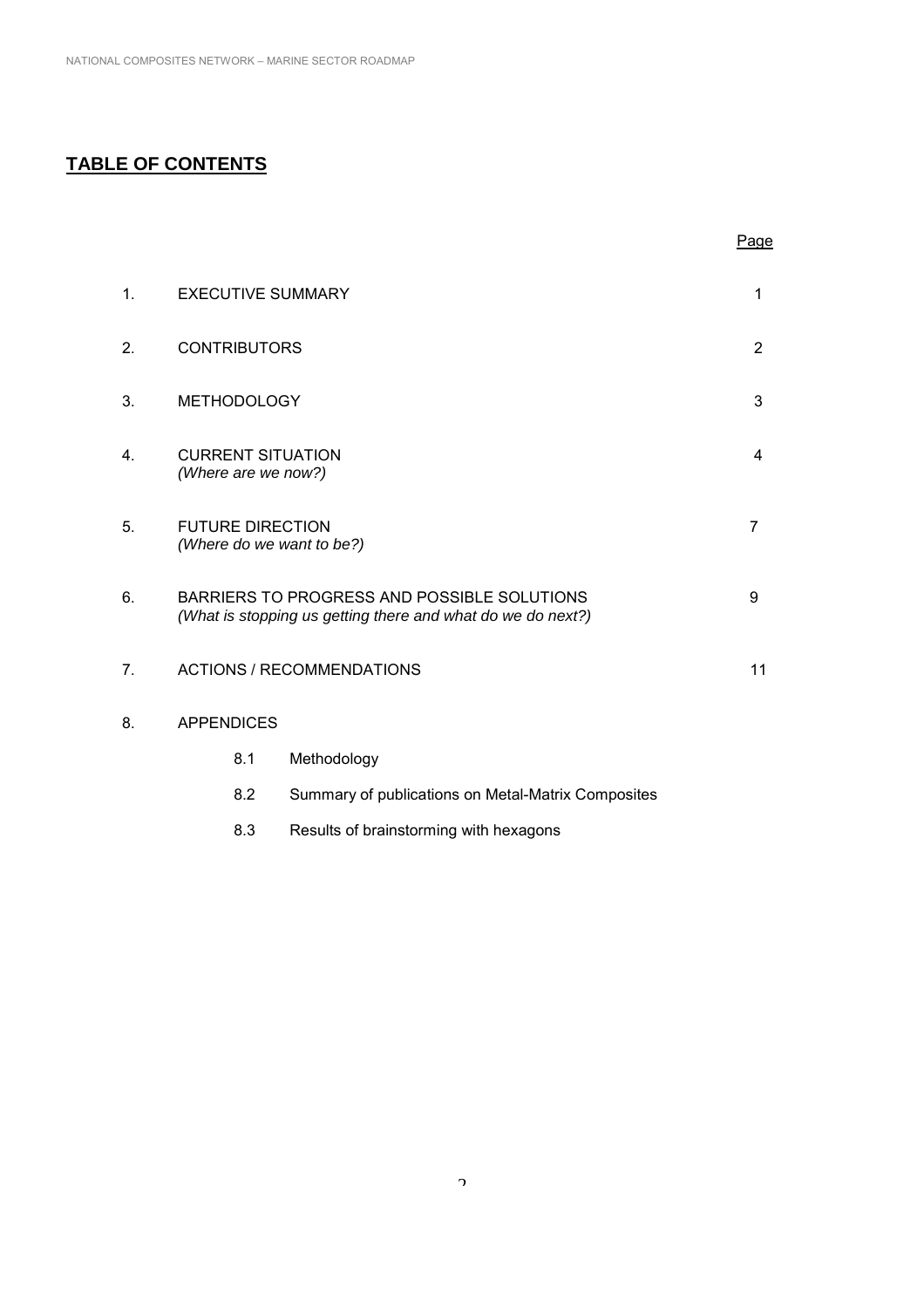# **TABLE OF CONTENTS**

|    |                                                      |                                                                                                            | Page           |
|----|------------------------------------------------------|------------------------------------------------------------------------------------------------------------|----------------|
| 1. | <b>EXECUTIVE SUMMARY</b>                             |                                                                                                            | 1              |
| 2. | <b>CONTRIBUTORS</b>                                  |                                                                                                            | $\overline{2}$ |
| 3. | <b>METHODOLOGY</b>                                   |                                                                                                            | 3              |
| 4. | <b>CURRENT SITUATION</b><br>(Where are we now?)      |                                                                                                            | 4              |
| 5. | <b>FUTURE DIRECTION</b><br>(Where do we want to be?) |                                                                                                            | $\overline{7}$ |
| 6. |                                                      | BARRIERS TO PROGRESS AND POSSIBLE SOLUTIONS<br>(What is stopping us getting there and what do we do next?) | 9              |
| 7. |                                                      | <b>ACTIONS / RECOMMENDATIONS</b>                                                                           | 11             |
| 8. | <b>APPENDICES</b>                                    |                                                                                                            |                |
|    | 8.1                                                  | Methodology                                                                                                |                |
|    | 8.2                                                  | Summary of publications on Metal-Matrix Composites                                                         |                |
|    | 8.3                                                  | Results of brainstorming with hexagons                                                                     |                |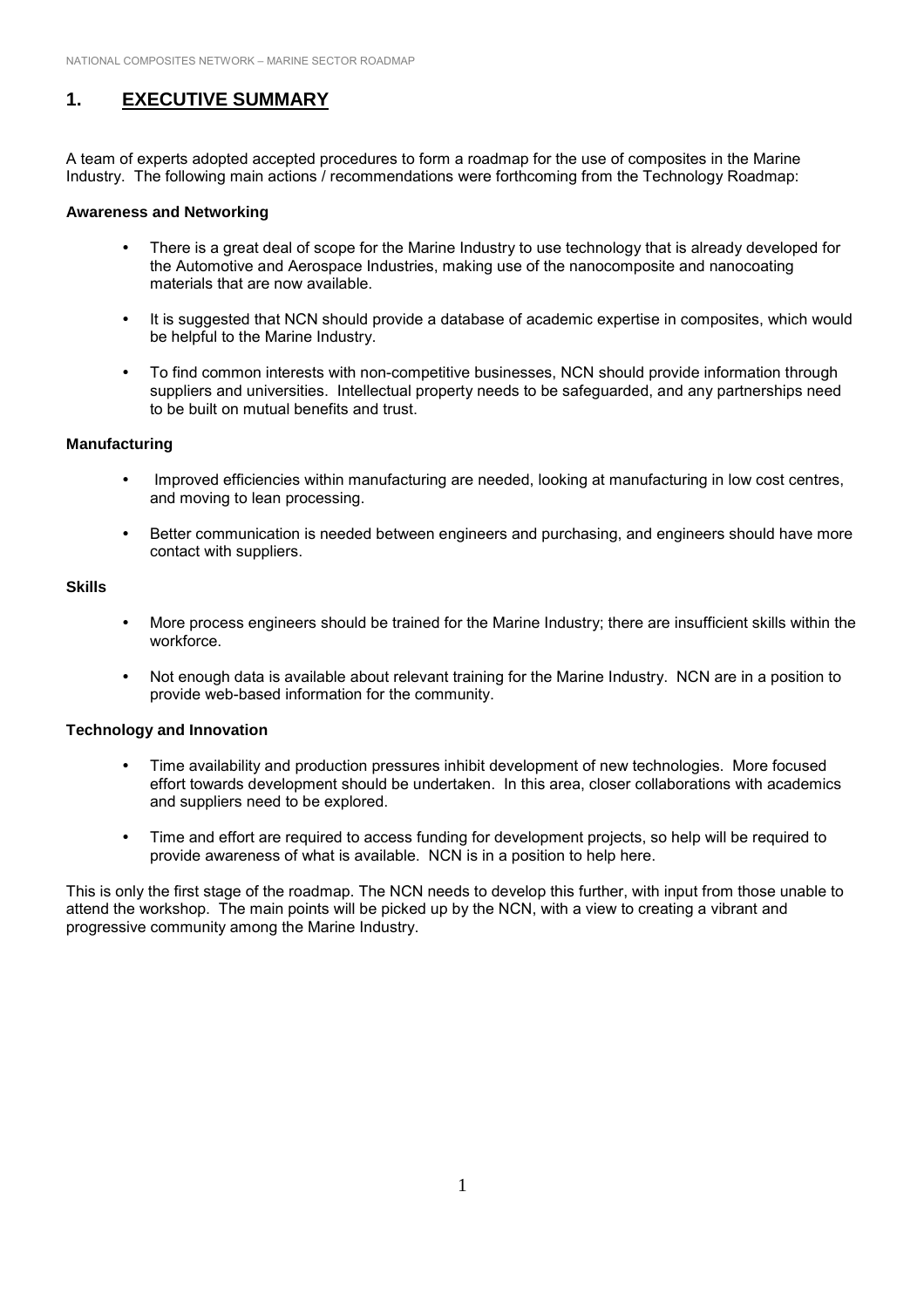## **1. EXECUTIVE SUMMARY**

A team of experts adopted accepted procedures to form a roadmap for the use of composites in the Marine Industry. The following main actions / recommendations were forthcoming from the Technology Roadmap:

#### **Awareness and Networking**

- ! There is a great deal of scope for the Marine Industry to use technology that is already developed for the Automotive and Aerospace Industries, making use of the nanocomposite and nanocoating materials that are now available.
- It is suggested that NCN should provide a database of academic expertise in composites, which would be helpful to the Marine Industry.
- ! To find common interests with non-competitive businesses, NCN should provide information through suppliers and universities. Intellectual property needs to be safeguarded, and any partnerships need to be built on mutual benefits and trust.

#### **Manufacturing**

- ! Improved efficiencies within manufacturing are needed, looking at manufacturing in low cost centres, and moving to lean processing.
- ! Better communication is needed between engineers and purchasing, and engineers should have more contact with suppliers.

#### **Skills**

- ! More process engineers should be trained for the Marine Industry; there are insufficient skills within the workforce.
- ! Not enough data is available about relevant training for the Marine Industry. NCN are in a position to provide web-based information for the community.

#### **Technology and Innovation**

- ! Time availability and production pressures inhibit development of new technologies. More focused effort towards development should be undertaken. In this area, closer collaborations with academics and suppliers need to be explored.
- ! Time and effort are required to access funding for development projects, so help will be required to provide awareness of what is available. NCN is in a position to help here.

This is only the first stage of the roadmap. The NCN needs to develop this further, with input from those unable to attend the workshop. The main points will be picked up by the NCN, with a view to creating a vibrant and progressive community among the Marine Industry.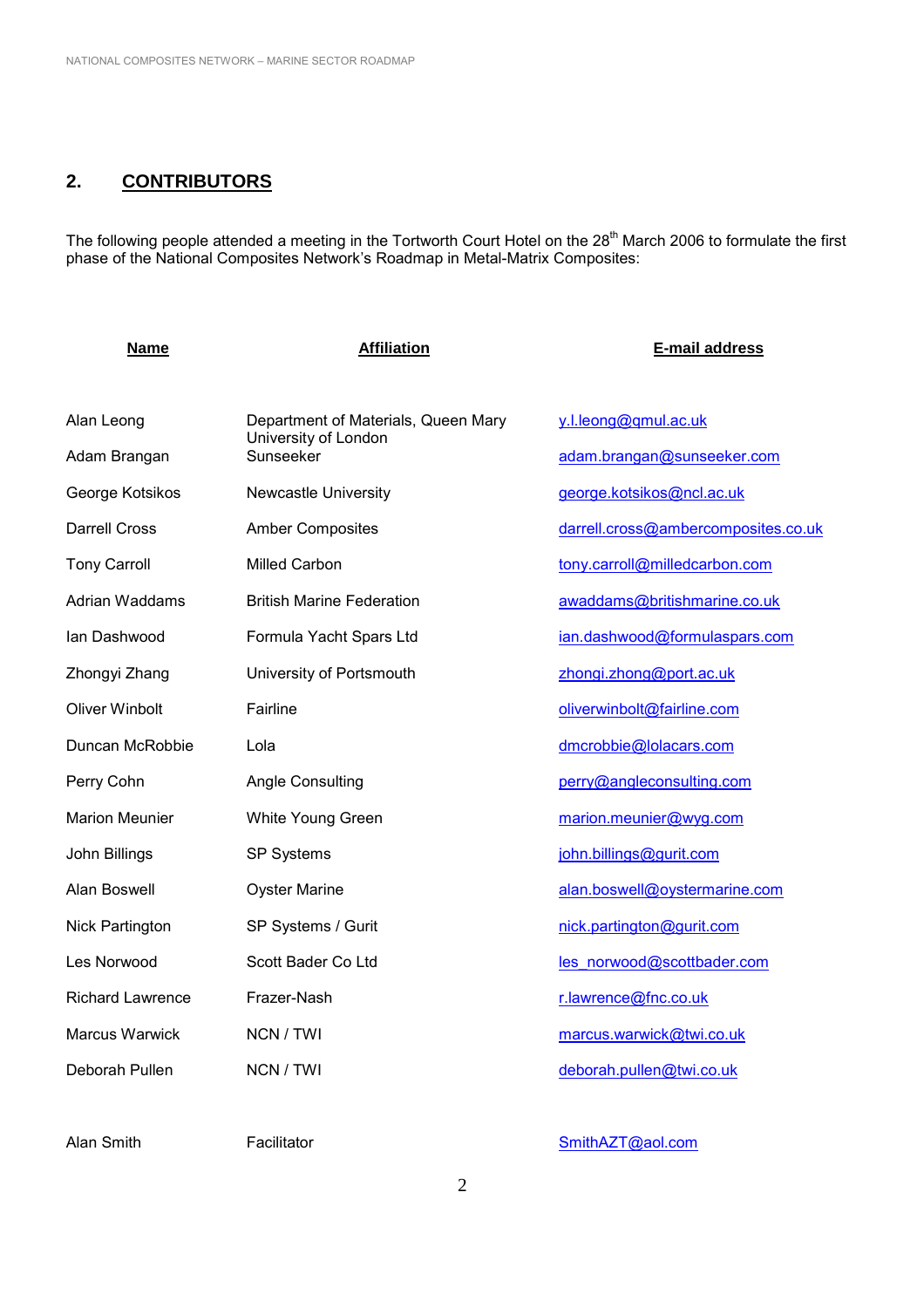# **2. CONTRIBUTORS**

The following people attended a meeting in the Tortworth Court Hotel on the 28<sup>th</sup> March 2006 to formulate the first phase of the National Composites Network's Roadmap in Metal-Matrix Composites:

| <b>Name</b>             | <b>Affiliation</b>                  | E-mail address                      |
|-------------------------|-------------------------------------|-------------------------------------|
|                         |                                     |                                     |
| Alan Leong              | Department of Materials, Queen Mary | y.l.leong@qmul.ac.uk                |
| Adam Brangan            | University of London<br>Sunseeker   | adam.brangan@sunseeker.com          |
| George Kotsikos         | <b>Newcastle University</b>         | george.kotsikos@ncl.ac.uk           |
| <b>Darrell Cross</b>    | <b>Amber Composites</b>             | darrell.cross@ambercomposites.co.uk |
| <b>Tony Carroll</b>     | <b>Milled Carbon</b>                | tony.carroll@milledcarbon.com       |
| <b>Adrian Waddams</b>   | <b>British Marine Federation</b>    | awaddams@britishmarine.co.uk        |
| lan Dashwood            | Formula Yacht Spars Ltd             | ian.dashwood@formulaspars.com       |
| Zhongyi Zhang           | University of Portsmouth            | zhongi.zhong@port.ac.uk             |
| <b>Oliver Winbolt</b>   | Fairline                            | oliverwinbolt@fairline.com          |
| Duncan McRobbie         | Lola                                | dmcrobbie@lolacars.com              |
| Perry Cohn              | <b>Angle Consulting</b>             | perry@angleconsulting.com           |
| <b>Marion Meunier</b>   | White Young Green                   | marion.meunier@wyg.com              |
| John Billings           | SP Systems                          | john.billings@gurit.com             |
| Alan Boswell            | <b>Oyster Marine</b>                | alan.boswell@oystermarine.com       |
| <b>Nick Partington</b>  | SP Systems / Gurit                  | nick.partington@gurit.com           |
| Les Norwood             | Scott Bader Co Ltd                  | les norwood@scottbader.com          |
| <b>Richard Lawrence</b> | Frazer-Nash                         | r.lawrence@fnc.co.uk                |
| Marcus Warwick          | NCN / TWI                           | marcus.warwick@twi.co.uk            |
| Deborah Pullen          | NCN / TWI                           | deborah.pullen@twi.co.uk            |
|                         |                                     |                                     |

#### Alan Smith Facilitator Facilitator [SmithAZT@aol.com](mailto:SmithAZT@aol.com)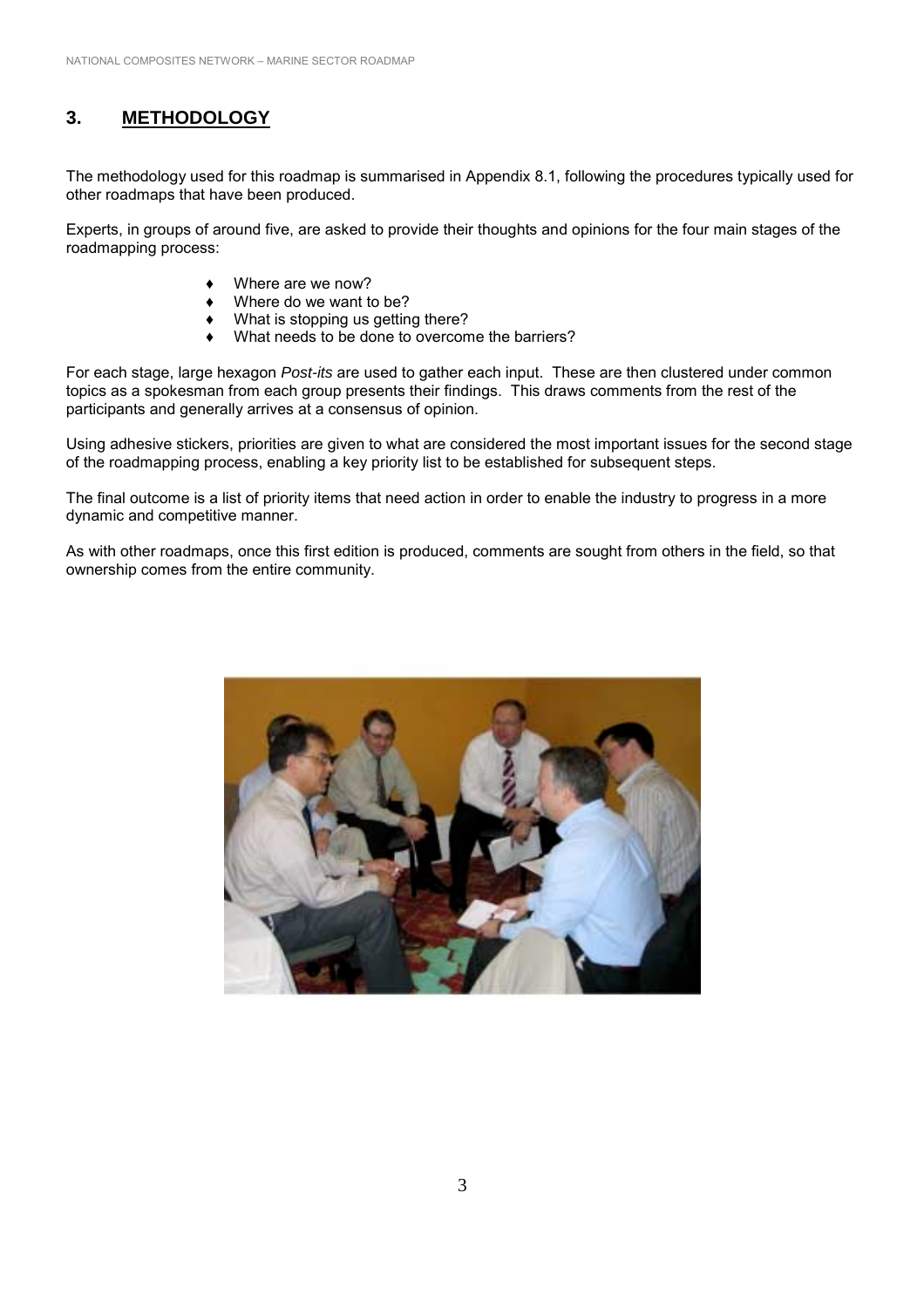# **3. METHODOLOGY**

The methodology used for this roadmap is summarised in Appendix 8.1, following the procedures typically used for other roadmaps that have been produced.

Experts, in groups of around five, are asked to provide their thoughts and opinions for the four main stages of the roadmapping process:

- Where are we now?
- Where do we want to be?
- What is stopping us getting there?
- What needs to be done to overcome the barriers?

For each stage, large hexagon *Post-its* are used to gather each input. These are then clustered under common topics as a spokesman from each group presents their findings. This draws comments from the rest of the participants and generally arrives at a consensus of opinion.

Using adhesive stickers, priorities are given to what are considered the most important issues for the second stage of the roadmapping process, enabling a key priority list to be established for subsequent steps.

The final outcome is a list of priority items that need action in order to enable the industry to progress in a more dynamic and competitive manner.

As with other roadmaps, once this first edition is produced, comments are sought from others in the field, so that ownership comes from the entire community.

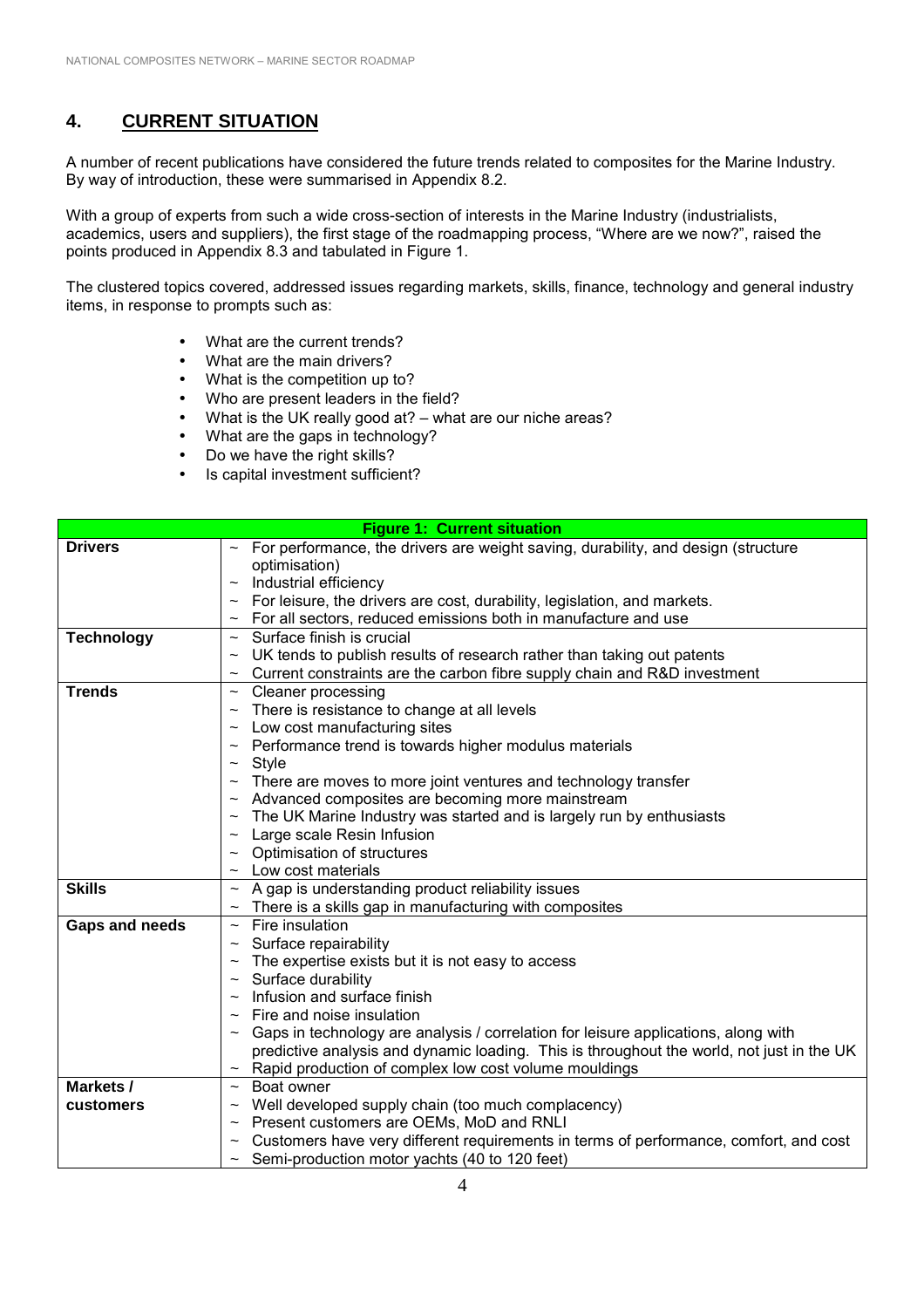# **4. CURRENT SITUATION**

A number of recent publications have considered the future trends related to composites for the Marine Industry. By way of introduction, these were summarised in Appendix 8.2.

With a group of experts from such a wide cross-section of interests in the Marine Industry (industrialists, academics, users and suppliers), the first stage of the roadmapping process, "Where are we now?", raised the points produced in Appendix 8.3 and tabulated in Figure 1.

The clustered topics covered, addressed issues regarding markets, skills, finance, technology and general industry items, in response to prompts such as:

- What are the current trends?
- What are the main drivers?
- What is the competition up to?
- Who are present leaders in the field?
- What is the UK really good at?  $-$  what are our niche areas?
- What are the gaps in technology?
- Do we have the right skills?
- Is capital investment sufficient?

| <b>Figure 1: Current situation</b> |                                                                                              |  |
|------------------------------------|----------------------------------------------------------------------------------------------|--|
| <b>Drivers</b>                     | For performance, the drivers are weight saving, durability, and design (structure            |  |
|                                    | optimisation)                                                                                |  |
|                                    | Industrial efficiency                                                                        |  |
|                                    | For leisure, the drivers are cost, durability, legislation, and markets.                     |  |
|                                    | For all sectors, reduced emissions both in manufacture and use                               |  |
| <b>Technology</b>                  | Surface finish is crucial<br>$\sim$                                                          |  |
|                                    | UK tends to publish results of research rather than taking out patents                       |  |
|                                    | Current constraints are the carbon fibre supply chain and R&D investment<br>$\thicksim$      |  |
| <b>Trends</b>                      | <b>Cleaner processing</b><br>$\thicksim$                                                     |  |
|                                    | There is resistance to change at all levels<br>$\thicksim$                                   |  |
|                                    | Low cost manufacturing sites<br>$\thicksim$                                                  |  |
|                                    | Performance trend is towards higher modulus materials<br>$\thicksim$                         |  |
|                                    | Style<br>$\thicksim$                                                                         |  |
|                                    | There are moves to more joint ventures and technology transfer                               |  |
|                                    | Advanced composites are becoming more mainstream                                             |  |
|                                    | The UK Marine Industry was started and is largely run by enthusiasts<br>$\thicksim$          |  |
|                                    | Large scale Resin Infusion<br>$\sim$                                                         |  |
|                                    | Optimisation of structures<br>$\thicksim$                                                    |  |
|                                    | Low cost materials<br>$\thicksim$                                                            |  |
| <b>Skills</b>                      | A gap is understanding product reliability issues<br>$\thicksim$                             |  |
|                                    | There is a skills gap in manufacturing with composites<br>$\thicksim$                        |  |
| Gaps and needs                     | Fire insulation                                                                              |  |
|                                    | Surface repairability<br>$\sim$                                                              |  |
|                                    | The expertise exists but it is not easy to access<br>$\widetilde{\phantom{m}}$               |  |
|                                    | Surface durability<br>$\thicksim$                                                            |  |
|                                    | Infusion and surface finish<br>$\thicksim$                                                   |  |
|                                    | Fire and noise insulation                                                                    |  |
|                                    | Gaps in technology are analysis / correlation for leisure applications, along with<br>$\sim$ |  |
|                                    | predictive analysis and dynamic loading. This is throughout the world, not just in the UK    |  |
|                                    | Rapid production of complex low cost volume mouldings                                        |  |
| Markets /                          | Boat owner<br>$\sim$                                                                         |  |
| customers                          | Well developed supply chain (too much complacency)<br>$\thicksim$                            |  |
|                                    | Present customers are OEMs, MoD and RNLI<br>$\thicksim$                                      |  |
|                                    | Customers have very different requirements in terms of performance, comfort, and cost        |  |
|                                    | $\sim$ Semi-production motor yachts (40 to 120 feet)                                         |  |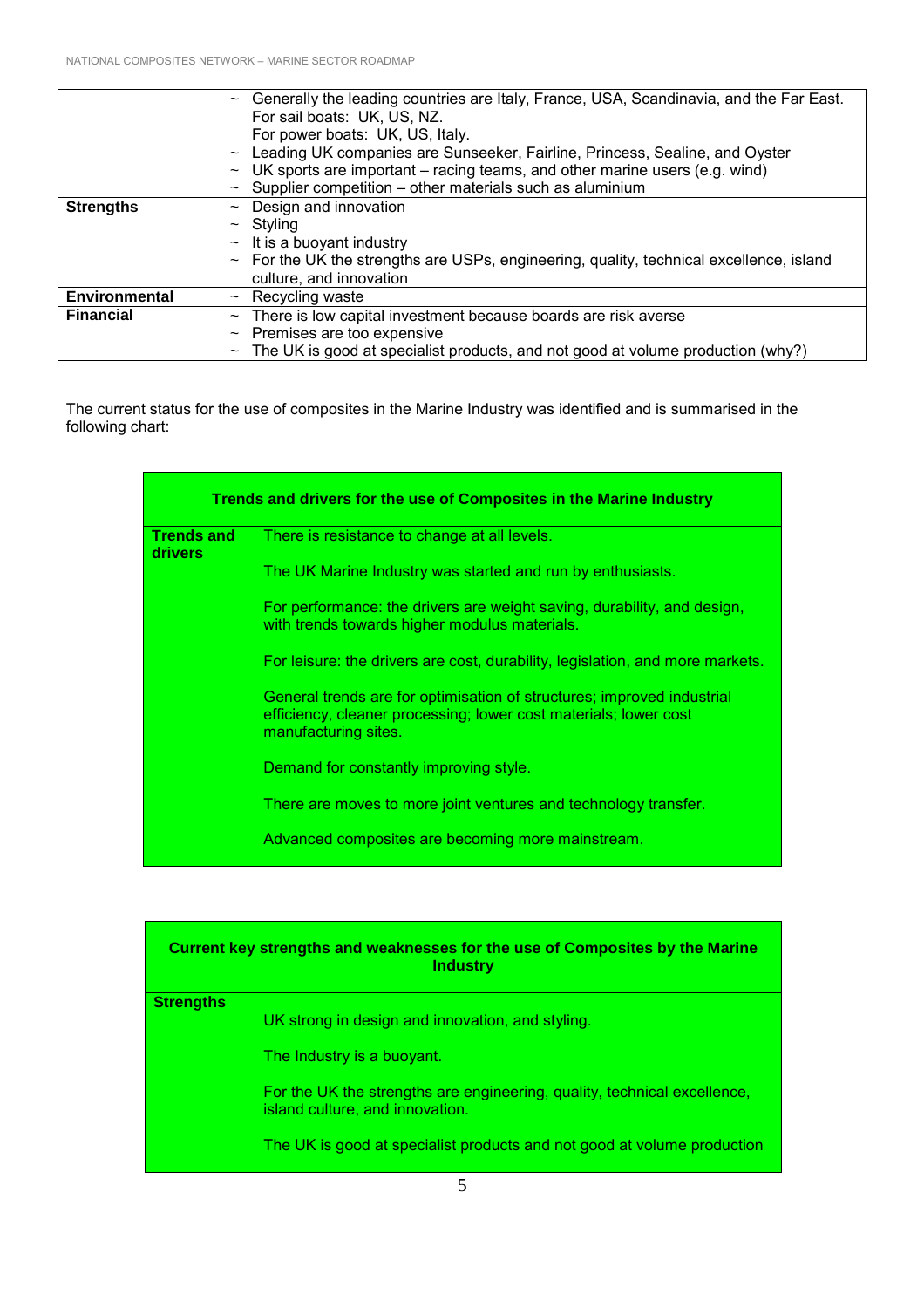|                      | Generally the leading countries are Italy, France, USA, Scandinavia, and the Far East.<br>$\sim$ |
|----------------------|--------------------------------------------------------------------------------------------------|
|                      | For sail boats: UK, US, NZ.                                                                      |
|                      | For power boats: UK, US, Italy.                                                                  |
|                      | Leading UK companies are Sunseeker, Fairline, Princess, Sealine, and Oyster<br>$\thicksim$       |
|                      | UK sports are important – racing teams, and other marine users (e.g. wind)<br>$\sim$             |
|                      | Supplier competition – other materials such as aluminium                                         |
| <b>Strengths</b>     | Design and innovation<br>$\sim$                                                                  |
|                      | Styling<br>$\sim$                                                                                |
|                      | It is a buoyant industry<br>$\thicksim$                                                          |
|                      | For the UK the strengths are USPs, engineering, quality, technical excellence, island<br>$\sim$  |
|                      | culture, and innovation                                                                          |
| <b>Environmental</b> | Recycling waste<br>$\widetilde{\phantom{m}}$                                                     |
| <b>Financial</b>     | There is low capital investment because boards are risk averse<br>$\sim$                         |
|                      | Premises are too expensive<br>$\sim$                                                             |
|                      | The UK is good at specialist products, and not good at volume production (why?)<br>$\sim$        |

The current status for the use of composites in the Marine Industry was identified and is summarised in the following chart:

| Trends and drivers for the use of Composites in the Marine Industry |                                                                                                                                                                    |  |
|---------------------------------------------------------------------|--------------------------------------------------------------------------------------------------------------------------------------------------------------------|--|
| <b>Trends and</b><br><b>drivers</b>                                 | There is resistance to change at all levels.                                                                                                                       |  |
|                                                                     | The UK Marine Industry was started and run by enthusiasts.                                                                                                         |  |
|                                                                     | For performance: the drivers are weight saving, durability, and design,<br>with trends towards higher modulus materials.                                           |  |
|                                                                     | For leisure: the drivers are cost, durability, legislation, and more markets.                                                                                      |  |
|                                                                     | General trends are for optimisation of structures; improved industrial<br>efficiency, cleaner processing; lower cost materials; lower cost<br>manufacturing sites. |  |
|                                                                     | Demand for constantly improving style.                                                                                                                             |  |
|                                                                     | There are moves to more joint ventures and technology transfer.                                                                                                    |  |
|                                                                     | Advanced composites are becoming more mainstream.                                                                                                                  |  |

| Current key strengths and weaknesses for the use of Composites by the Marine<br><b>Industry</b> |                                                                                                                                                                                                                                                                          |  |
|-------------------------------------------------------------------------------------------------|--------------------------------------------------------------------------------------------------------------------------------------------------------------------------------------------------------------------------------------------------------------------------|--|
| <b>Strengths</b>                                                                                | UK strong in design and innovation, and styling.<br>The Industry is a buoyant.<br>For the UK the strengths are engineering, quality, technical excellence,<br>island culture, and innovation.<br>The UK is good at specialist products and not good at volume production |  |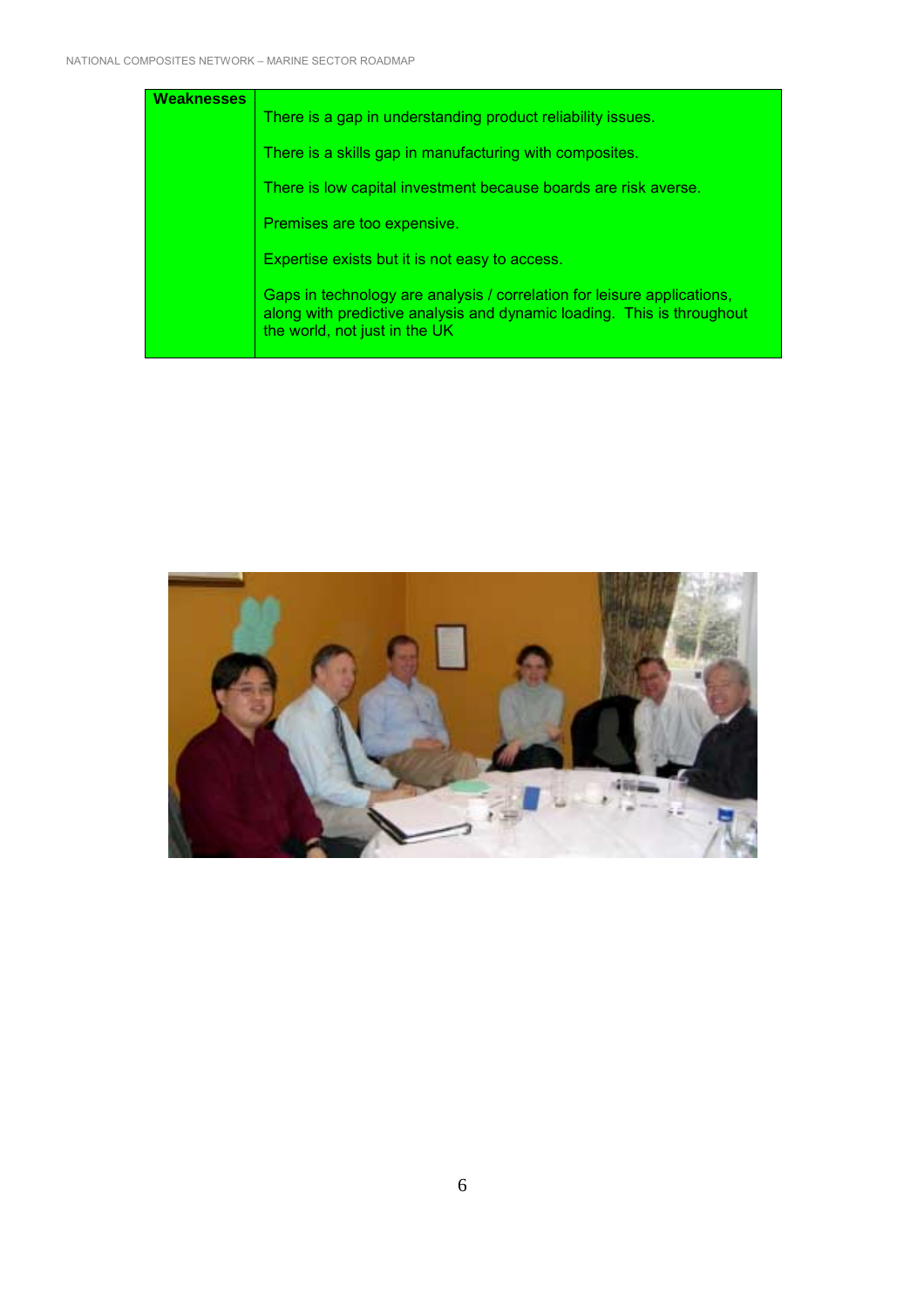| Weaknesses | There is a gap in understanding product reliability issues.                                                                                                                        |
|------------|------------------------------------------------------------------------------------------------------------------------------------------------------------------------------------|
|            | There is a skills gap in manufacturing with composites.                                                                                                                            |
|            | There is low capital investment because boards are risk averse.                                                                                                                    |
|            | Premises are too expensive.                                                                                                                                                        |
|            | Expertise exists but it is not easy to access.                                                                                                                                     |
|            | Gaps in technology are analysis / correlation for leisure applications,<br>along with predictive analysis and dynamic loading. This is throughout<br>the world, not just in the UK |

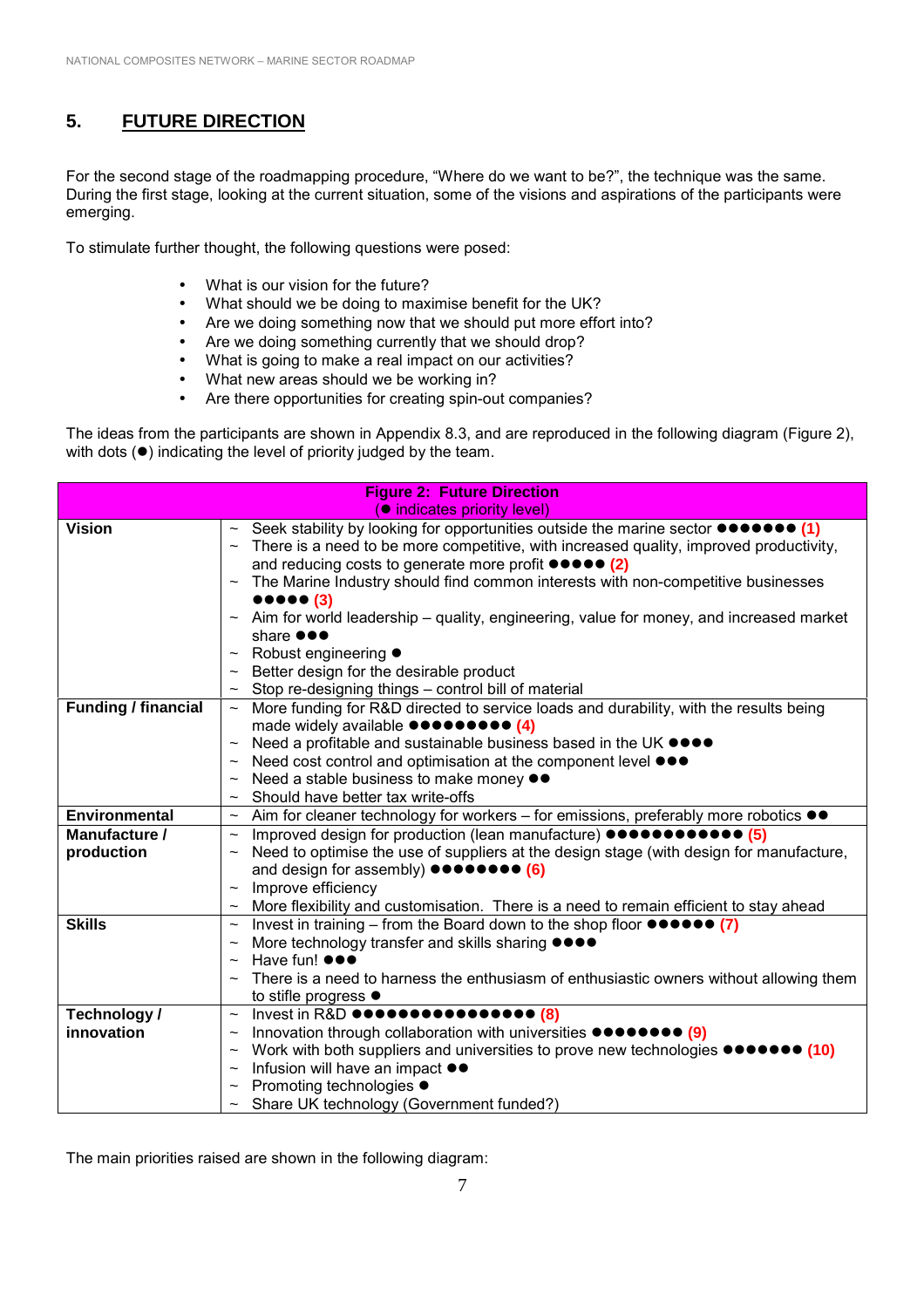# **5. FUTURE DIRECTION**

For the second stage of the roadmapping procedure, "Where do we want to be?", the technique was the same. During the first stage, looking at the current situation, some of the visions and aspirations of the participants were emerging.

To stimulate further thought, the following questions were posed:

- What is our vision for the future?
- What should we be doing to maximise benefit for the UK?
- Are we doing something now that we should put more effort into?
- Are we doing something currently that we should drop?
- What is going to make a real impact on our activities?
- What new areas should we be working in?
- Are there opportunities for creating spin-out companies?

The ideas from the participants are shown in Appendix 8.3, and are reproduced in the following diagram (Figure 2), with dots  $(•)$  indicating the level of priority judged by the team.

| <b>Figure 2: Future Direction</b>  |                                                                                                                                               |  |
|------------------------------------|-----------------------------------------------------------------------------------------------------------------------------------------------|--|
| <b>O</b> indicates priority level) |                                                                                                                                               |  |
| <b>Vision</b>                      | $\sim$ Seek stability by looking for opportunities outside the marine sector $\bullet \bullet \bullet \bullet \bullet \bullet$ (1)            |  |
|                                    | There is a need to be more competitive, with increased quality, improved productivity,                                                        |  |
|                                    | and reducing costs to generate more profit $\bullet \bullet \bullet \bullet (2)$                                                              |  |
|                                    | The Marine Industry should find common interests with non-competitive businesses<br>$\sim$                                                    |  |
|                                    | $\bullet\bullet\bullet\bullet\bullet$ (3)                                                                                                     |  |
|                                    | Aim for world leadership - quality, engineering, value for money, and increased market                                                        |  |
|                                    | share <b>OOO</b>                                                                                                                              |  |
|                                    | Robust engineering ●                                                                                                                          |  |
|                                    | Better design for the desirable product                                                                                                       |  |
|                                    | Stop re-designing things - control bill of material<br>$\thicksim$                                                                            |  |
| <b>Funding / financial</b>         | More funding for R&D directed to service loads and durability, with the results being<br>$\thicksim$                                          |  |
|                                    | made widely available $\bullet \bullet \bullet \bullet \bullet \bullet \bullet \bullet$ (4)                                                   |  |
|                                    | Need a profitable and sustainable business based in the UK ●●●●<br>$\thicksim$                                                                |  |
|                                    | Need cost control and optimisation at the component level ●●●<br>$\thicksim$                                                                  |  |
|                                    | Need a stable business to make money ●●                                                                                                       |  |
|                                    | Should have better tax write-offs                                                                                                             |  |
| <b>Environmental</b>               | $\sim$ Aim for cleaner technology for workers – for emissions, preferably more robotics $\bullet\bullet$                                      |  |
| Manufacture /                      | Improved design for production (lean manufacture) $\bullet \bullet \bullet \bullet \bullet \bullet \bullet \bullet \bullet \bullet$<br>$\sim$ |  |
| production                         | Need to optimise the use of suppliers at the design stage (with design for manufacture,                                                       |  |
|                                    | and design for assembly) $\bullet \bullet \bullet \bullet \bullet \bullet \bullet$ (6)                                                        |  |
|                                    | Improve efficiency<br>$\sim$                                                                                                                  |  |
|                                    | More flexibility and customisation. There is a need to remain efficient to stay ahead<br>$\sim$                                               |  |
| <b>Skills</b>                      | Invest in training – from the Board down to the shop floor $\bullet \bullet \bullet \bullet \bullet$ (7)<br>$\thicksim$                       |  |
|                                    | More technology transfer and skills sharing $\bullet\bullet\bullet\bullet$<br>$\sim$                                                          |  |
|                                    | Have fun! $\bullet \bullet \bullet$                                                                                                           |  |
|                                    | There is a need to harness the enthusiasm of enthusiastic owners without allowing them                                                        |  |
|                                    | to stifle progress $\bullet$                                                                                                                  |  |
| Technology /                       | Invest in R&D $\bullet\bullet\bullet\bullet\bullet\bullet\bullet\bullet\bullet\bullet\bullet\bullet\bullet\bullet\bullet\bullet$<br>$\sim$    |  |
| innovation                         | Innovation through collaboration with universities $\bullet \bullet \bullet \bullet \bullet \bullet \bullet$ (9)                              |  |
|                                    | Work with both suppliers and universities to prove new technologies $\bullet \bullet \bullet \bullet \bullet \bullet (10)$<br>$\thicksim$     |  |
|                                    | Infusion will have an impact $\bullet\bullet$                                                                                                 |  |
|                                    | Promoting technologies ●                                                                                                                      |  |
|                                    | $\sim$ Share UK technology (Government funded?)                                                                                               |  |

The main priorities raised are shown in the following diagram: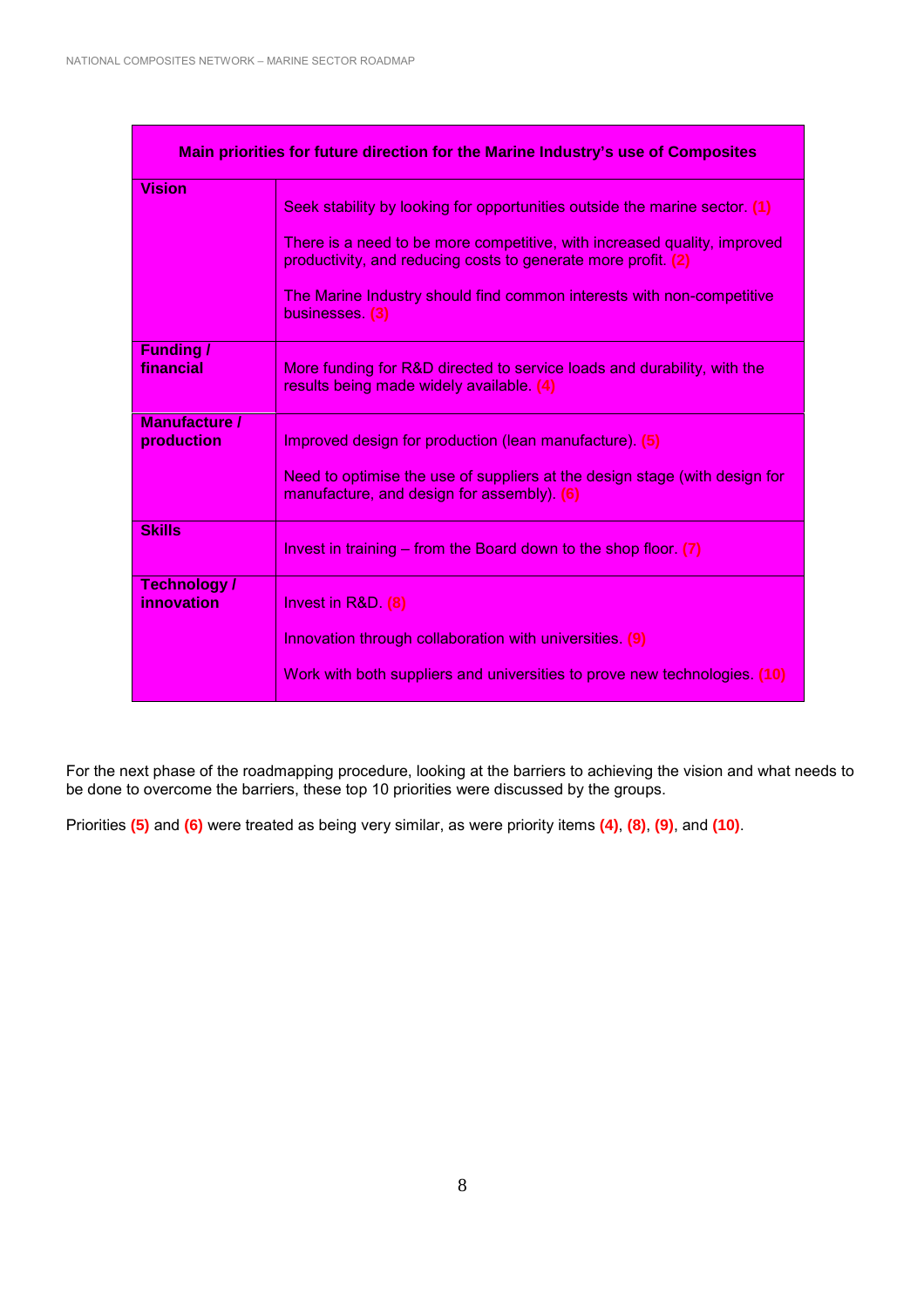| Main priorities for future direction for the Marine Industry's use of Composites |                                                                                                                                           |  |
|----------------------------------------------------------------------------------|-------------------------------------------------------------------------------------------------------------------------------------------|--|
| <b>Vision</b>                                                                    | Seek stability by looking for opportunities outside the marine sector. (1)                                                                |  |
|                                                                                  | There is a need to be more competitive, with increased quality, improved<br>productivity, and reducing costs to generate more profit. (2) |  |
|                                                                                  | The Marine Industry should find common interests with non-competitive<br>businesses. (3)                                                  |  |
| <b>Funding</b> /<br>financial                                                    | More funding for R&D directed to service loads and durability, with the<br>results being made widely available. (4)                       |  |
| <b>Manufacture /</b><br>production                                               | Improved design for production (lean manufacture). (5)                                                                                    |  |
|                                                                                  | Need to optimise the use of suppliers at the design stage (with design for<br>manufacture, and design for assembly). (6)                  |  |
| <b>Skills</b>                                                                    | Invest in training $-$ from the Board down to the shop floor. (7)                                                                         |  |
| Technology/<br>innovation                                                        | Invest in $R&D.$ (8)                                                                                                                      |  |
|                                                                                  | Innovation through collaboration with universities (9)                                                                                    |  |
|                                                                                  | Work with both suppliers and universities to prove new technologies. (10)                                                                 |  |

For the next phase of the roadmapping procedure, looking at the barriers to achieving the vision and what needs to be done to overcome the barriers, these top 10 priorities were discussed by the groups.

Priorities **(5)** and **(6)** were treated as being very similar, as were priority items **(4)**, **(8)**, **(9)**, and **(10)**.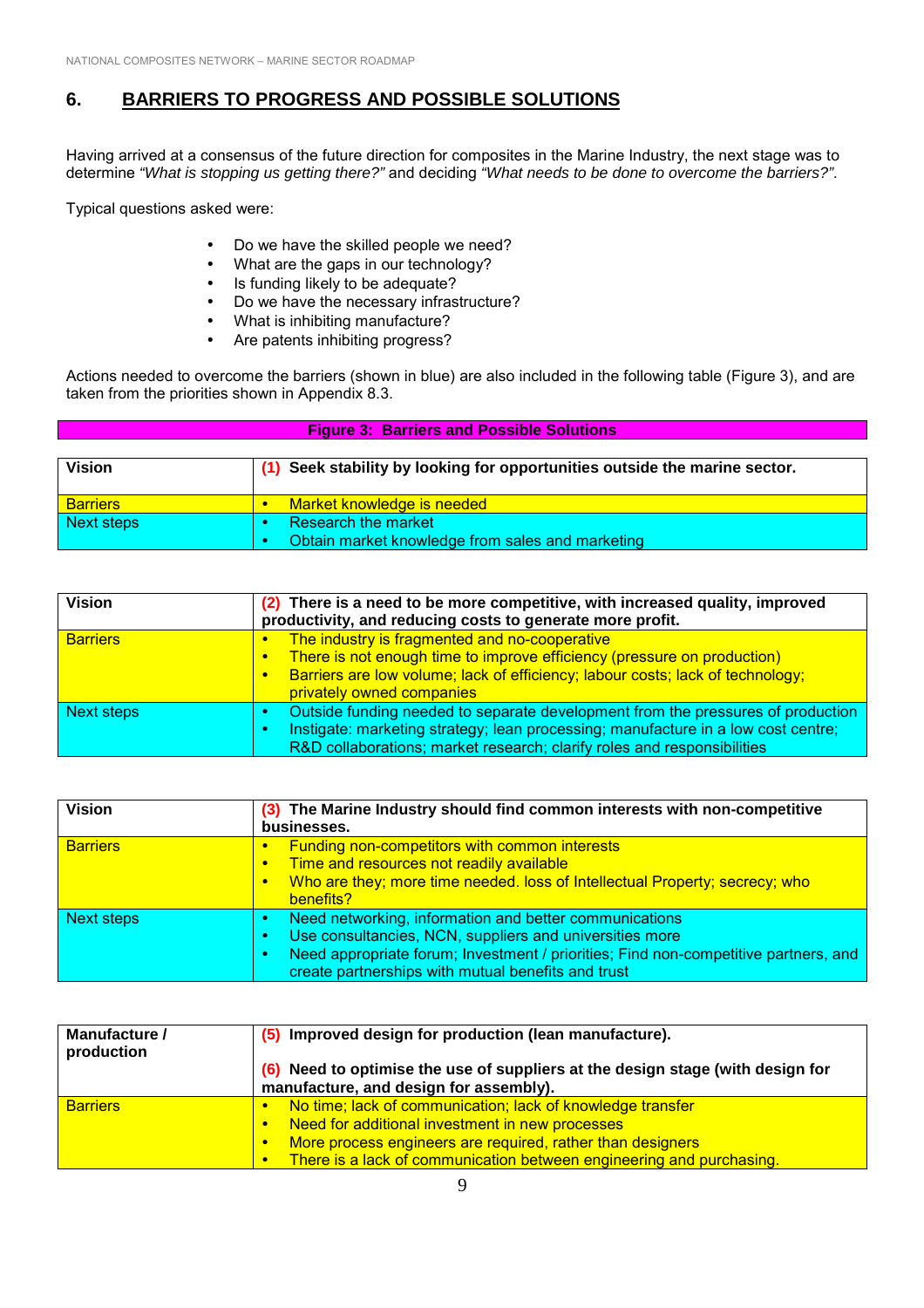## **6. BARRIERS TO PROGRESS AND POSSIBLE SOLUTIONS**

Having arrived at a consensus of the future direction for composites in the Marine Industry, the next stage was to determine *"What is stopping us getting there?"* and deciding *"What needs to be done to overcome the barriers?"*.

Typical questions asked were:

- Do we have the skilled people we need?
- What are the gaps in our technology?
- Is funding likely to be adequate?
- Do we have the necessary infrastructure?
- What is inhibiting manufacture?
- Are patents inhibiting progress?

Actions needed to overcome the barriers (shown in blue) are also included in the following table (Figure 3), and are taken from the priorities shown in Appendix 8.3.

| <b>Figure 3: Barriers and Possible Solutions</b> |                                                                            |
|--------------------------------------------------|----------------------------------------------------------------------------|
| Vision                                           | (1) Seek stability by looking for opportunities outside the marine sector. |
| <b>Barriers</b>                                  | Market knowledge is needed                                                 |
| Next steps                                       | Research the market<br>Obtain market knowledge from sales and marketing    |

| <b>Vision</b>     | (2) There is a need to be more competitive, with increased quality, improved<br>productivity, and reducing costs to generate more profit.                                                                                                                                      |
|-------------------|--------------------------------------------------------------------------------------------------------------------------------------------------------------------------------------------------------------------------------------------------------------------------------|
| <b>Barriers</b>   | The industry is fragmented and no-cooperative<br>$\bullet$<br>There is not enough time to improve efficiency (pressure on production)<br>$\bullet$<br>Barriers are low volume; lack of efficiency; labour costs; lack of technology;<br>$\bullet$<br>privately owned companies |
| <b>Next steps</b> | Outside funding needed to separate development from the pressures of production<br>Instigate: marketing strategy; lean processing; manufacture in a low cost centre;<br>R&D collaborations; market research; clarify roles and responsibilities                                |

| <b>Vision</b>     | (3) The Marine Industry should find common interests with non-competitive                                                                                                                                                                                      |
|-------------------|----------------------------------------------------------------------------------------------------------------------------------------------------------------------------------------------------------------------------------------------------------------|
|                   | businesses.                                                                                                                                                                                                                                                    |
| <b>Barriers</b>   | <b>Funding non-competitors with common interests</b><br>$\bullet$<br>Time and resources not readily available<br>$\bullet$<br>Who are they; more time needed. loss of Intellectual Property; secrecy; who<br>$\bullet$<br>benefits?                            |
| <b>Next steps</b> | Need networking, information and better communications<br>Use consultancies, NCN, suppliers and universities more<br>Need appropriate forum; Investment / priorities; Find non-competitive partners, and<br>create partnerships with mutual benefits and trust |

| Manufacture /<br>production | (5) Improved design for production (lean manufacture).                                                                   |
|-----------------------------|--------------------------------------------------------------------------------------------------------------------------|
|                             | (6) Need to optimise the use of suppliers at the design stage (with design for<br>manufacture, and design for assembly). |
|                             |                                                                                                                          |
| <b>Barriers</b>             | No time; lack of communication; lack of knowledge transfer                                                               |
|                             | Need for additional investment in new processes                                                                          |
|                             | More process engineers are required, rather than designers                                                               |
|                             | There is a lack of communication between engineering and purchasing.                                                     |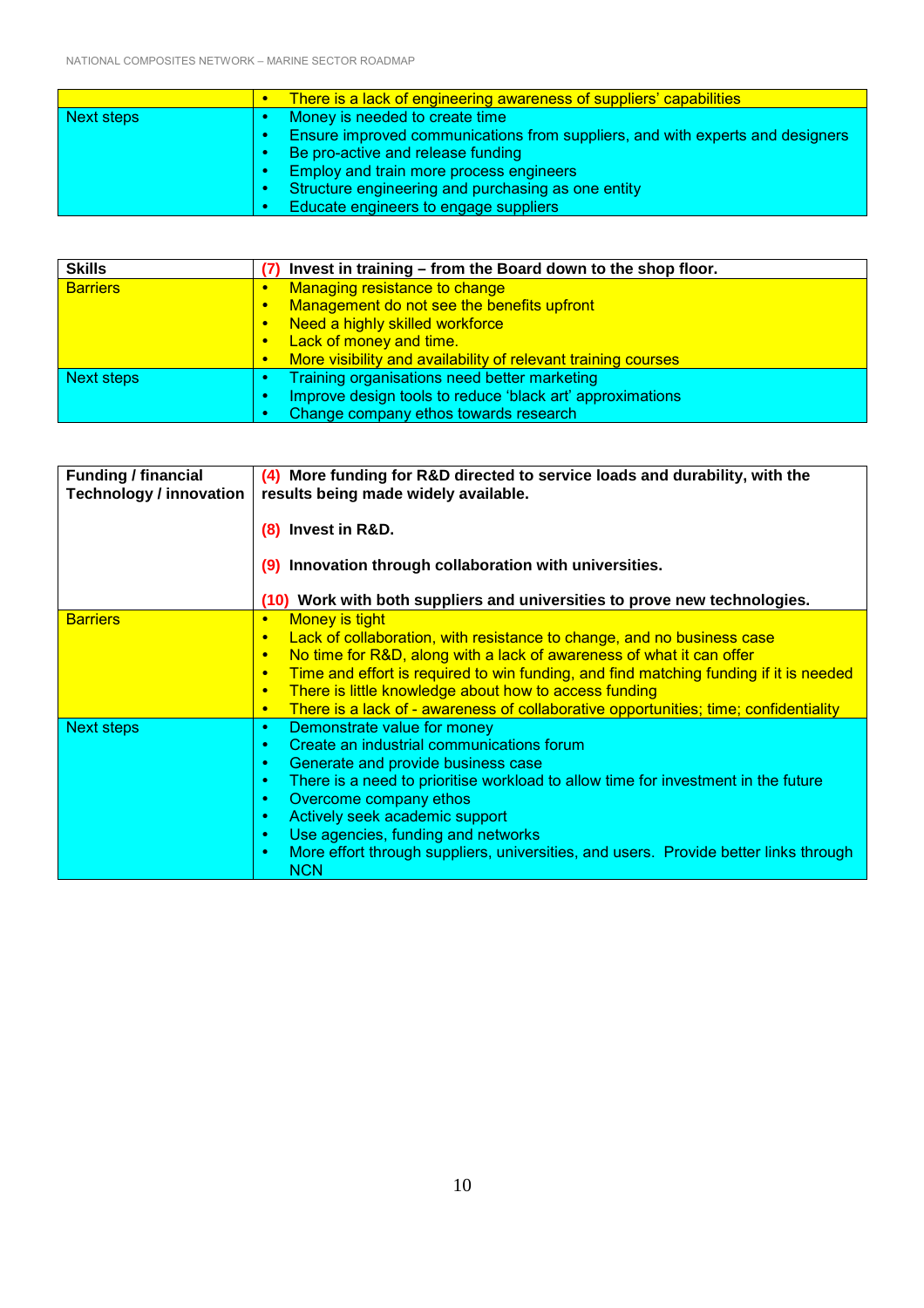|            | There is a lack of engineering awareness of suppliers' capabilities           |
|------------|-------------------------------------------------------------------------------|
| Next steps | Money is needed to create time                                                |
|            | Ensure improved communications from suppliers, and with experts and designers |
|            | Be pro-active and release funding                                             |
|            | Employ and train more process engineers                                       |
|            | Structure engineering and purchasing as one entity                            |
|            | Educate engineers to engage suppliers                                         |

| <b>Skills</b>   | Invest in training - from the Board down to the shop floor.                |  |
|-----------------|----------------------------------------------------------------------------|--|
| <b>Barriers</b> | Managing resistance to change<br>$\bullet$                                 |  |
|                 | Management do not see the benefits upfront<br>$\bullet$                    |  |
|                 | Need a highly skilled workforce<br>$\bullet$                               |  |
|                 | Lack of money and time.<br>$\bullet$                                       |  |
|                 | More visibility and availability of relevant training courses<br>$\bullet$ |  |
| Next steps      | Training organisations need better marketing                               |  |
|                 | Improve design tools to reduce 'black art' approximations                  |  |
|                 | Change company ethos towards research                                      |  |

| <b>Funding / financial</b><br><b>Technology / innovation</b> | (4) More funding for R&D directed to service loads and durability, with the<br>results being made widely available.<br>(8) Invest in R&D.                                                                                                                                                                                                                                                                                                                                                |  |
|--------------------------------------------------------------|------------------------------------------------------------------------------------------------------------------------------------------------------------------------------------------------------------------------------------------------------------------------------------------------------------------------------------------------------------------------------------------------------------------------------------------------------------------------------------------|--|
|                                                              | (9) Innovation through collaboration with universities.                                                                                                                                                                                                                                                                                                                                                                                                                                  |  |
|                                                              | (10) Work with both suppliers and universities to prove new technologies.                                                                                                                                                                                                                                                                                                                                                                                                                |  |
| <b>Barriers</b>                                              | Money is tight<br>$\bullet$<br>Lack of collaboration, with resistance to change, and no business case<br>$\bullet$<br>No time for R&D, along with a lack of awareness of what it can offer<br>$\bullet$<br>Time and effort is required to win funding, and find matching funding if it is needed<br>$\bullet$<br>There is little knowledge about how to access funding<br>$\bullet$<br>There is a lack of - awareness of collaborative opportunities; time; confidentiality<br>$\bullet$ |  |
| Next steps                                                   | Demonstrate value for money<br>٠<br>Create an industrial communications forum<br>۰<br>Generate and provide business case<br>۰<br>There is a need to prioritise workload to allow time for investment in the future<br>٠<br>Overcome company ethos<br>٠<br>Actively seek academic support<br>۰<br>Use agencies, funding and networks<br>۰<br>More effort through suppliers, universities, and users. Provide better links through<br>۰<br><b>NCN</b>                                      |  |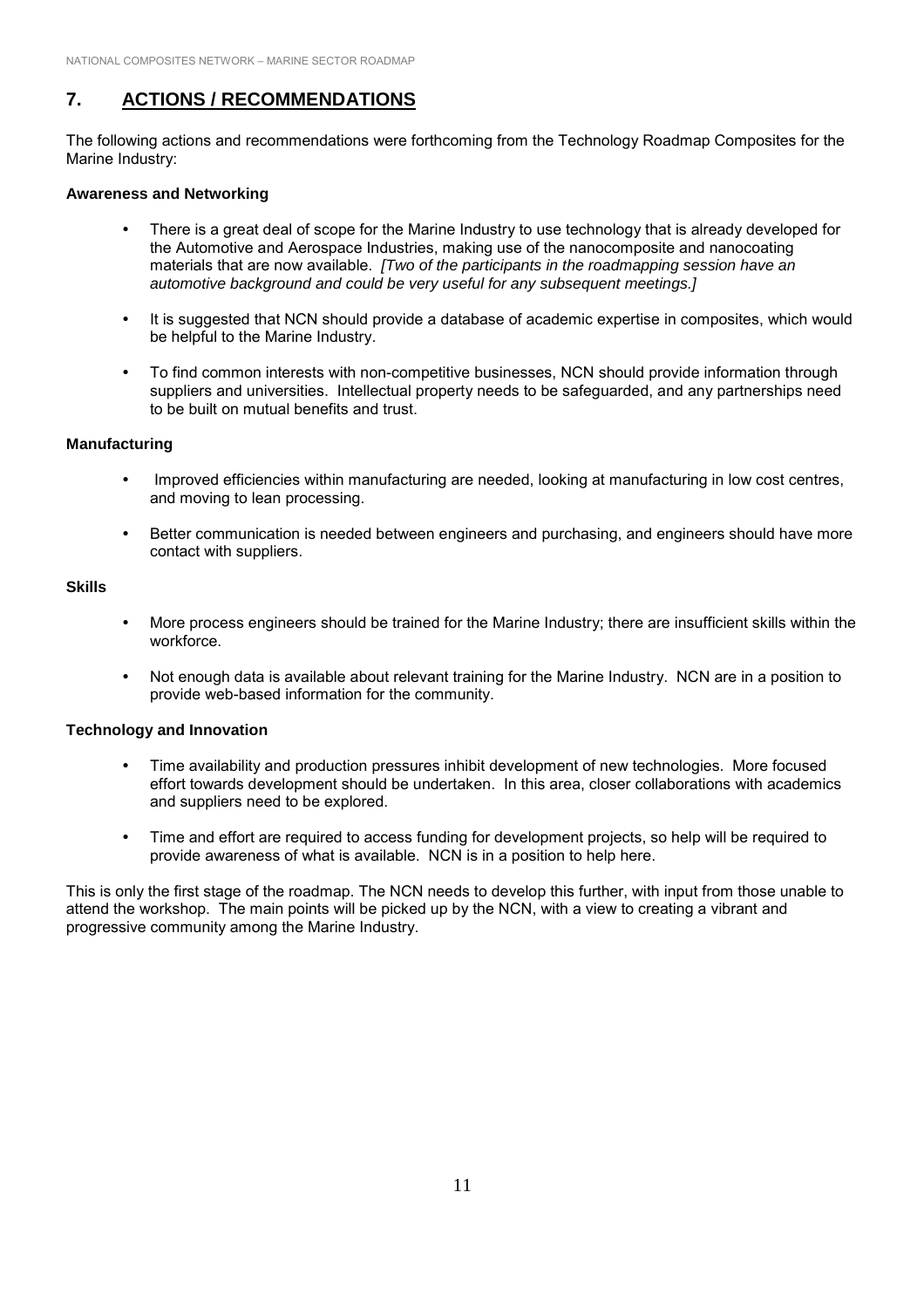## **7. ACTIONS / RECOMMENDATIONS**

The following actions and recommendations were forthcoming from the Technology Roadmap Composites for the Marine Industry:

#### **Awareness and Networking**

- There is a great deal of scope for the Marine Industry to use technology that is already developed for the Automotive and Aerospace Industries, making use of the nanocomposite and nanocoating materials that are now available. *[Two of the participants in the roadmapping session have an automotive background and could be very useful for any subsequent meetings.]*
- It is suggested that NCN should provide a database of academic expertise in composites, which would be helpful to the Marine Industry.
- ! To find common interests with non-competitive businesses, NCN should provide information through suppliers and universities. Intellectual property needs to be safeguarded, and any partnerships need to be built on mutual benefits and trust.

#### **Manufacturing**

- ! Improved efficiencies within manufacturing are needed, looking at manufacturing in low cost centres, and moving to lean processing.
- ! Better communication is needed between engineers and purchasing, and engineers should have more contact with suppliers.

#### **Skills**

- ! More process engineers should be trained for the Marine Industry; there are insufficient skills within the workforce.
- ! Not enough data is available about relevant training for the Marine Industry. NCN are in a position to provide web-based information for the community.

#### **Technology and Innovation**

- ! Time availability and production pressures inhibit development of new technologies. More focused effort towards development should be undertaken. In this area, closer collaborations with academics and suppliers need to be explored.
- ! Time and effort are required to access funding for development projects, so help will be required to provide awareness of what is available. NCN is in a position to help here.

This is only the first stage of the roadmap. The NCN needs to develop this further, with input from those unable to attend the workshop. The main points will be picked up by the NCN, with a view to creating a vibrant and progressive community among the Marine Industry.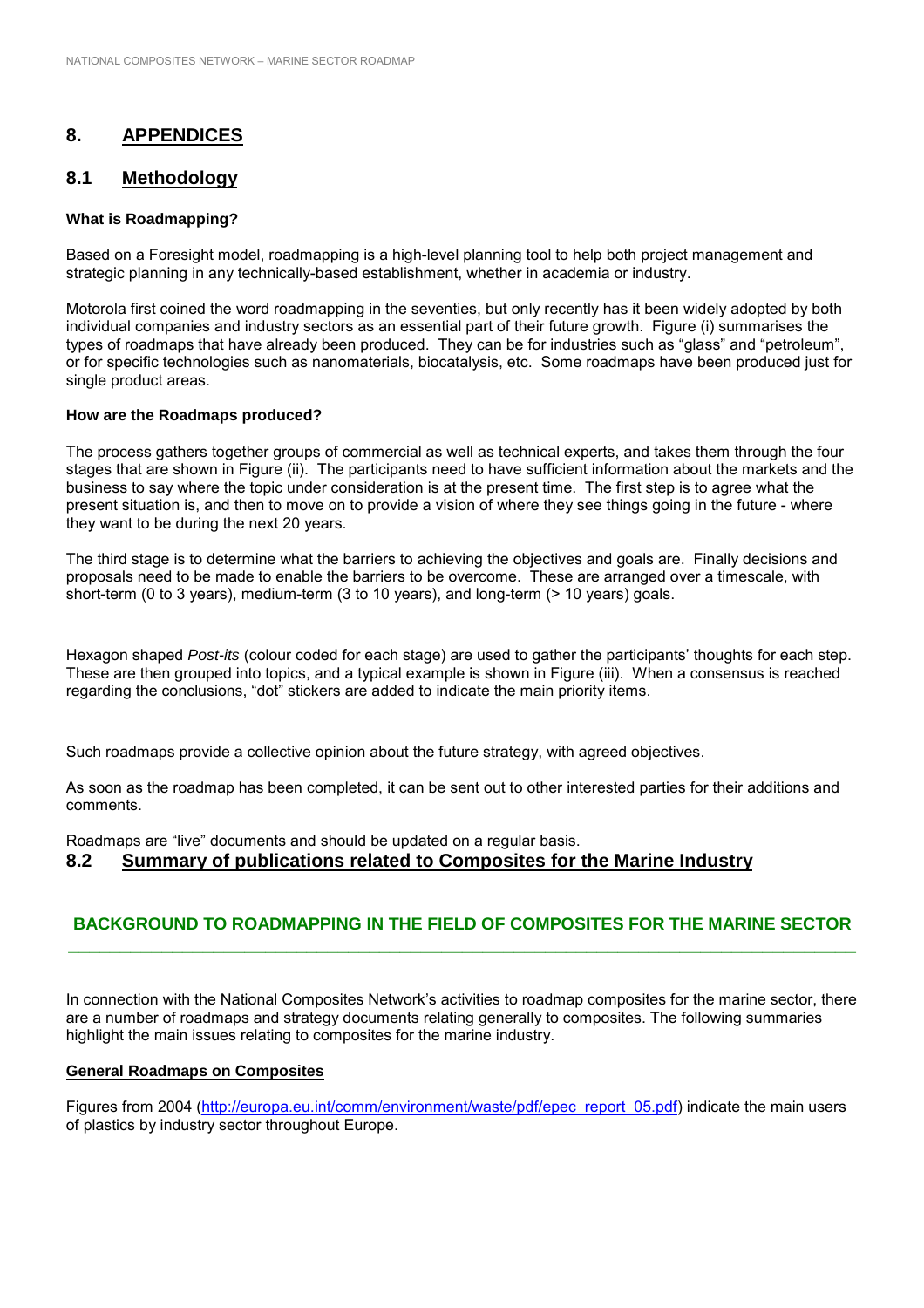## **8. APPENDICES**

## **8.1 Methodology**

#### **What is Roadmapping?**

Based on a Foresight model, roadmapping is a high-level planning tool to help both project management and strategic planning in any technically-based establishment, whether in academia or industry.

Motorola first coined the word roadmapping in the seventies, but only recently has it been widely adopted by both individual companies and industry sectors as an essential part of their future growth. Figure (i) summarises the types of roadmaps that have already been produced. They can be for industries such as "glass" and "petroleum", or for specific technologies such as nanomaterials, biocatalysis, etc. Some roadmaps have been produced just for single product areas.

#### **How are the Roadmaps produced?**

The process gathers together groups of commercial as well as technical experts, and takes them through the four stages that are shown in Figure (ii). The participants need to have sufficient information about the markets and the business to say where the topic under consideration is at the present time. The first step is to agree what the present situation is, and then to move on to provide a vision of where they see things going in the future - where they want to be during the next 20 years.

The third stage is to determine what the barriers to achieving the objectives and goals are. Finally decisions and proposals need to be made to enable the barriers to be overcome. These are arranged over a timescale, with short-term (0 to 3 years), medium-term (3 to 10 years), and long-term (> 10 years) goals.

Hexagon shaped *Post-its* (colour coded for each stage) are used to gather the participants' thoughts for each step. These are then grouped into topics, and a typical example is shown in Figure (iii). When a consensus is reached regarding the conclusions, "dot" stickers are added to indicate the main priority items.

Such roadmaps provide a collective opinion about the future strategy, with agreed objectives.

As soon as the roadmap has been completed, it can be sent out to other interested parties for their additions and comments.

Roadmaps are "live" documents and should be updated on a regular basis.

#### **8.2 Summary of publications related to Composites for the Marine Industry**

## **BACKGROUND TO ROADMAPPING IN THE FIELD OF COMPOSITES FOR THE MARINE SECTOR \_\_\_\_\_\_\_\_\_\_\_\_\_\_\_\_\_\_\_\_\_\_\_\_\_\_\_\_\_\_\_\_\_\_\_\_\_\_\_\_\_\_\_\_\_\_\_\_\_\_\_\_\_\_\_\_\_\_\_\_\_\_\_\_\_\_\_\_\_\_\_\_\_\_\_\_**

In connection with the National Composites Network's activities to roadmap composites for the marine sector, there are a number of roadmaps and strategy documents relating generally to composites. The following summaries highlight the main issues relating to composites for the marine industry.

#### **General Roadmaps on Composites**

Figures from 2004 (http://europa.eu.int/comm/environment/waste/pdf/epec\_report\_05.pdf) indicate the main users of plastics by industry sector throughout Europe.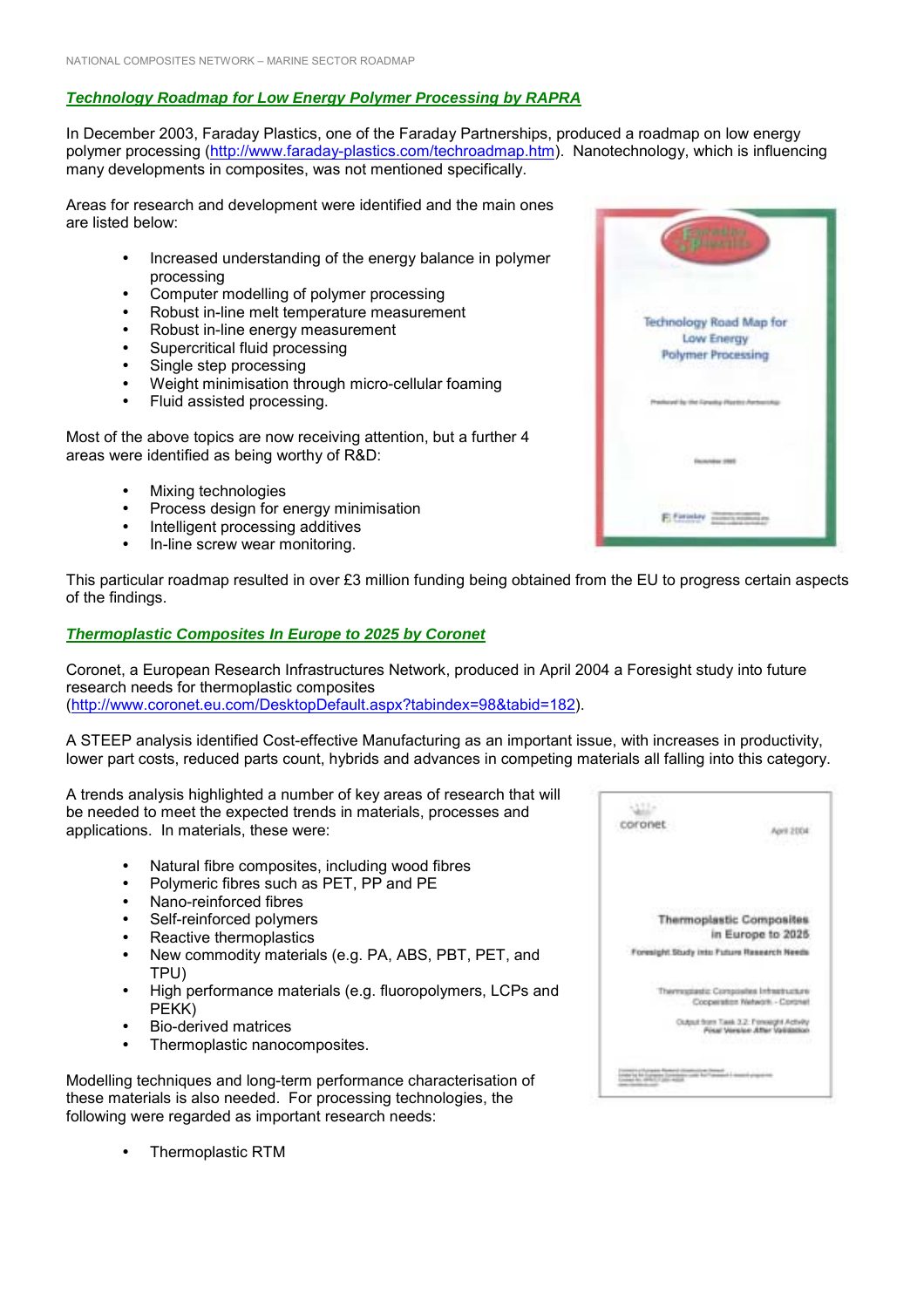## *Technology Roadmap for Low Energy Polymer Processing by RAPRA*

In December 2003, Faraday Plastics, one of the Faraday Partnerships, produced a roadmap on low energy polymer processing (http://www.faraday-plastics.com/techroadmap.htm). Nanotechnology, which is influencing many developments in composites, was not mentioned specifically.

Areas for research and development were identified and the main ones are listed below:

- ! Increased understanding of the energy balance in polymer processing
- Computer modelling of polymer processing
- Robust in-line melt temperature measurement
- Robust in-line energy measurement
- Supercritical fluid processing
- Single step processing
- ! Weight minimisation through micro-cellular foaming
- ! Fluid assisted processing.

Most of the above topics are now receiving attention, but a further 4 areas were identified as being worthy of R&D:

- **Mixing technologies**
- Process design for energy minimisation
- Intelligent processing additives
- In-line screw wear monitoring.

This particular roadmap resulted in over £3 million funding being obtained from the EU to progress certain aspects of the findings.

#### *Thermoplastic Composites In Europe to 2025 by Coronet*

Coronet, a European Research Infrastructures Network, produced in April 2004 a Foresight study into future research needs for thermoplastic composites (http://www.coronet.eu.com/DesktopDefault.aspx?tabindex=98&tabid=182).

A STEEP analysis identified Cost-effective Manufacturing as an important issue, with increases in productivity, lower part costs, reduced parts count, hybrids and advances in competing materials all falling into this category.

A trends analysis highlighted a number of key areas of research that will be needed to meet the expected trends in materials, processes and applications. In materials, these were:

- Natural fibre composites, including wood fibres
- ! Polymeric fibres such as PET, PP and PE
- Nano-reinforced fibres
- Self-reinforced polymers
- Reactive thermoplastics
- New commodity materials (e.g. PA, ABS, PBT, PET, and TPU)
- High performance materials (e.g. fluoropolymers, LCPs and PEKK)
- ! Bio-derived matrices
- Thermoplastic nanocomposites.

Modelling techniques and long-term performance characterisation of these materials is also needed. For processing technologies, the following were regarded as important research needs:

415 coronet Anna Steva **Thermoplastic Composites** in Europe to 2025 Foresight Study into Future Research Needs Thermapiastic Composites Infrastructure Cooperation Network - Coronal Output from Task 3.2: Forestont Activity<br>Final Version After Validation **CONTRACTOR** CONTRACTOR PRODUCTS IN AN INTERNATIONAL PRODUCTS IN THE CONTRACTOR OF THE CONTRACTOR OF THE CONTRACTOR



! Thermoplastic RTM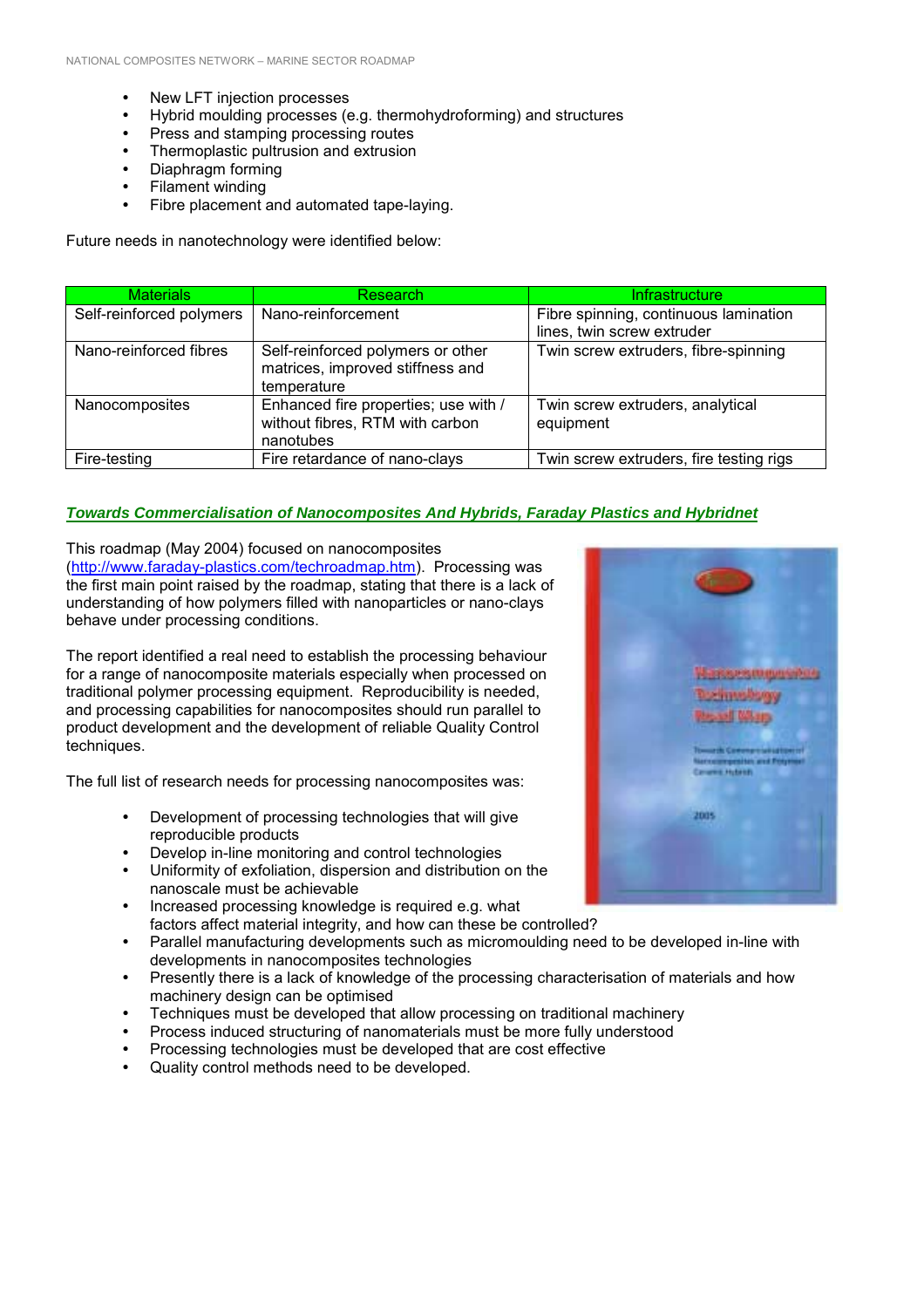- New LFT injection processes
- Hybrid moulding processes (e.g. thermohydroforming) and structures
- Press and stamping processing routes
- Thermoplastic pultrusion and extrusion
- Diaphragm forming
- Filament winding
- Fibre placement and automated tape-laying.

Future needs in nanotechnology were identified below:

| <b>Materials</b>         | Research                                                                             | <b>Infrastructure</b>                         |
|--------------------------|--------------------------------------------------------------------------------------|-----------------------------------------------|
| Self-reinforced polymers | Nano-reinforcement                                                                   | Fibre spinning, continuous lamination         |
|                          |                                                                                      | lines, twin screw extruder                    |
| Nano-reinforced fibres   | Self-reinforced polymers or other<br>matrices, improved stiffness and<br>temperature | Twin screw extruders, fibre-spinning          |
| Nanocomposites           | Enhanced fire properties; use with /<br>without fibres, RTM with carbon<br>nanotubes | Twin screw extruders, analytical<br>equipment |
| Fire-testing             | Fire retardance of nano-clays                                                        | Twin screw extruders, fire testing rigs       |

#### *Towards Commercialisation of Nanocomposites And Hybrids, Faraday Plastics and Hybridnet*

This roadmap (May 2004) focused on nanocomposites (http://www.faraday-plastics.com/techroadmap.htm). Processing was the first main point raised by the roadmap, stating that there is a lack of understanding of how polymers filled with nanoparticles or nano-clays behave under processing conditions.

The report identified a real need to establish the processing behaviour for a range of nanocomposite materials especially when processed on traditional polymer processing equipment. Reproducibility is needed, and processing capabilities for nanocomposites should run parallel to product development and the development of reliable Quality Control techniques.

The full list of research needs for processing nanocomposites was:

- ! Development of processing technologies that will give reproducible products
- Develop in-line monitoring and control technologies
- Uniformity of exfoliation, dispersion and distribution on the nanoscale must be achievable
- Increased processing knowledge is required e.g. what factors affect material integrity, and how can these be controlled?
- Parallel manufacturing developments such as micromoulding need to be developed in-line with developments in nanocomposites technologies
- Presently there is a lack of knowledge of the processing characterisation of materials and how machinery design can be optimised
- ! Techniques must be developed that allow processing on traditional machinery
- ! Process induced structuring of nanomaterials must be more fully understood
- ! Processing technologies must be developed that are cost effective
- Quality control methods need to be developed.

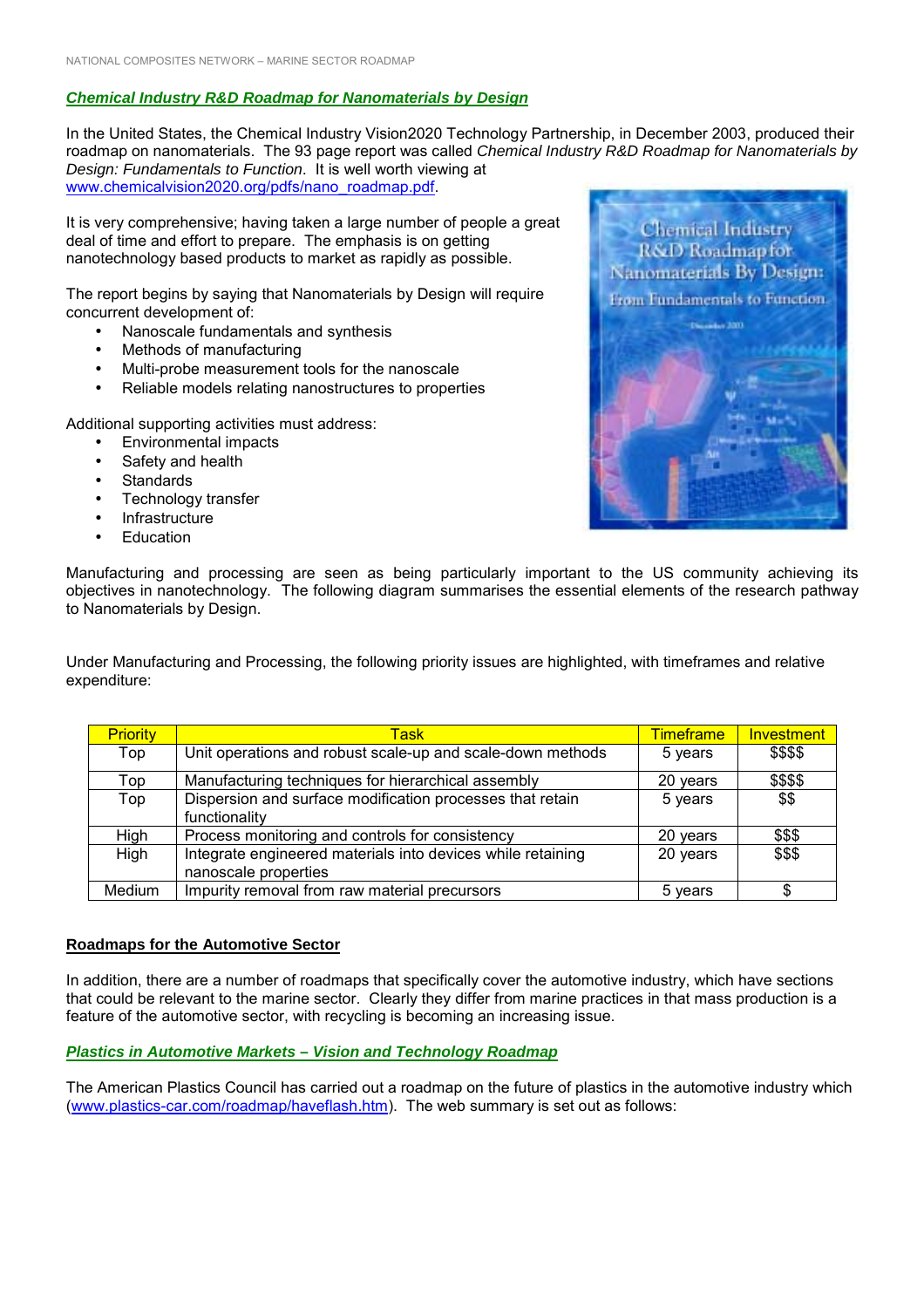#### *Chemical Industry R&D Roadmap for Nanomaterials by Design*

In the United States, the Chemical Industry Vision2020 Technology Partnership, in December 2003, produced their roadmap on nanomaterials. The 93 page report was called *Chemical Industry R&D Roadmap for Nanomaterials by Design: Fundamentals to Function*. It is well worth viewing at www.chemicalvision2020.org/pdfs/nano\_roadmap.pdf.

It is very comprehensive; having taken a large number of people a great deal of time and effort to prepare. The emphasis is on getting nanotechnology based products to market as rapidly as possible.

The report begins by saying that Nanomaterials by Design will require concurrent development of:

- Nanoscale fundamentals and synthesis
- Methods of manufacturing
- Multi-probe measurement tools for the nanoscale
- Reliable models relating nanostructures to properties

Additional supporting activities must address:

- Environmental impacts
- Safety and health
- Standards
- Technology transfer
- **Infrastructure**
- **Education**



Manufacturing and processing are seen as being particularly important to the US community achieving its objectives in nanotechnology. The following diagram summarises the essential elements of the research pathway to Nanomaterials by Design.

Under Manufacturing and Processing, the following priority issues are highlighted, with timeframes and relative expenditure:

| <b>Priority</b> | Task                                                                                | <b>Timeframe</b> | Investment |
|-----------------|-------------------------------------------------------------------------------------|------------------|------------|
| Top             | Unit operations and robust scale-up and scale-down methods                          | 5 years          | \$\$\$\$   |
| Top             | Manufacturing techniques for hierarchical assembly                                  | 20 years         | \$\$\$\$   |
| Top             | Dispersion and surface modification processes that retain<br>functionality          | 5 years          | \$\$       |
| High            | Process monitoring and controls for consistency                                     | 20 years         | \$\$\$     |
| High            | Integrate engineered materials into devices while retaining<br>nanoscale properties | 20 years         | \$\$\$     |
| Medium          | Impurity removal from raw material precursors                                       | 5 years          | \$         |

#### **Roadmaps for the Automotive Sector**

In addition, there are a number of roadmaps that specifically cover the automotive industry, which have sections that could be relevant to the marine sector. Clearly they differ from marine practices in that mass production is a feature of the automotive sector, with recycling is becoming an increasing issue.

#### *Plastics in Automotive Markets – Vision and Technology Roadmap*

The American Plastics Council has carried out a roadmap on the future of plastics in the automotive industry which (www.plastics-car.com/roadmap/haveflash.htm). The web summary is set out as follows: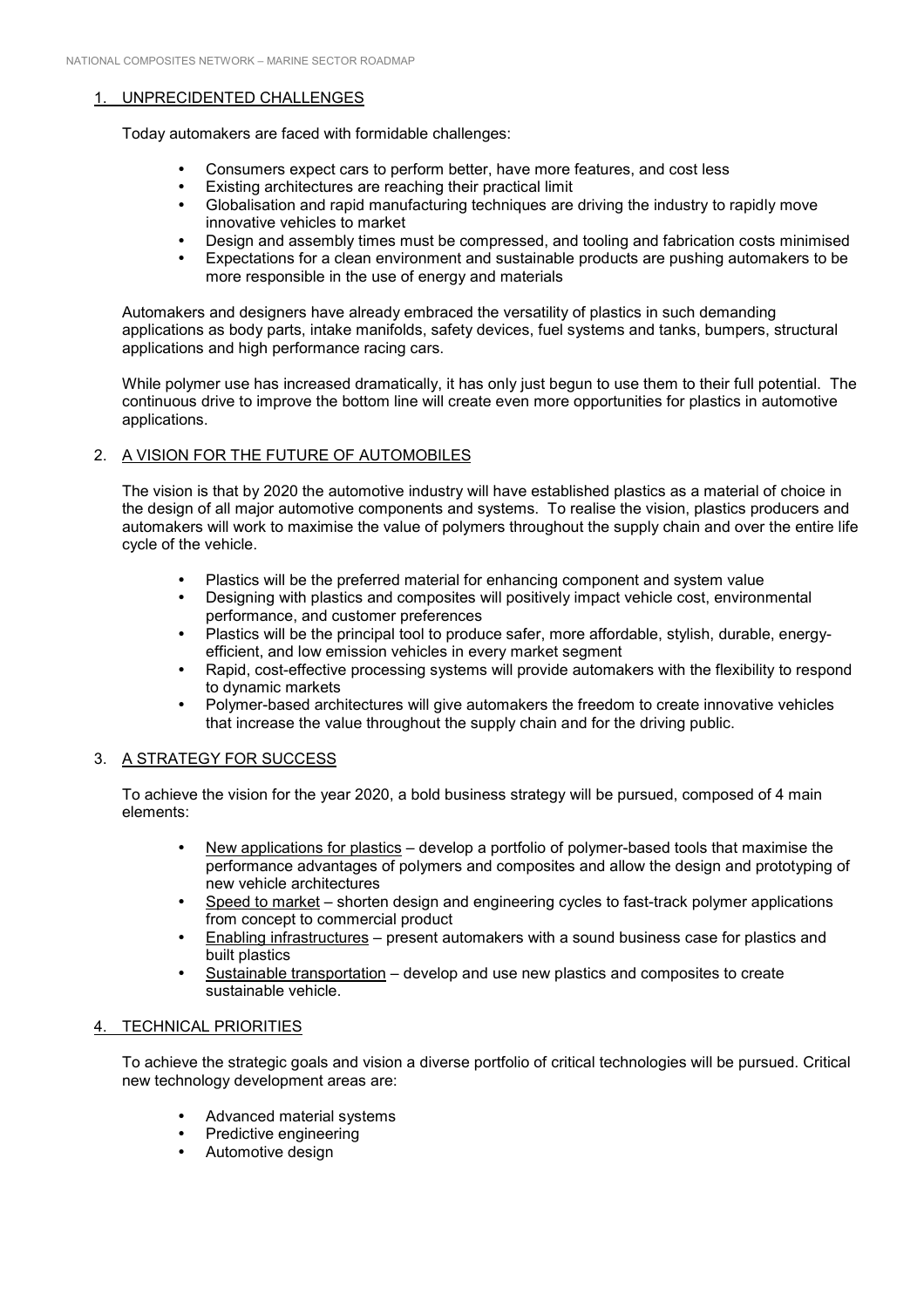#### 1. UNPRECIDENTED CHALLENGES

Today automakers are faced with formidable challenges:

- ! Consumers expect cars to perform better, have more features, and cost less
- ! Existing architectures are reaching their practical limit
- ! Globalisation and rapid manufacturing techniques are driving the industry to rapidly move innovative vehicles to market
- ! Design and assembly times must be compressed, and tooling and fabrication costs minimised
- ! Expectations for a clean environment and sustainable products are pushing automakers to be more responsible in the use of energy and materials

Automakers and designers have already embraced the versatility of plastics in such demanding applications as body parts, intake manifolds, safety devices, fuel systems and tanks, bumpers, structural applications and high performance racing cars.

While polymer use has increased dramatically, it has only just begun to use them to their full potential. The continuous drive to improve the bottom line will create even more opportunities for plastics in automotive applications.

## 2. A VISION FOR THE FUTURE OF AUTOMOBILES

The vision is that by 2020 the automotive industry will have established plastics as a material of choice in the design of all major automotive components and systems. To realise the vision, plastics producers and automakers will work to maximise the value of polymers throughout the supply chain and over the entire life cycle of the vehicle.

- ! Plastics will be the preferred material for enhancing component and system value
- ! Designing with plastics and composites will positively impact vehicle cost, environmental performance, and customer preferences
- ! Plastics will be the principal tool to produce safer, more affordable, stylish, durable, energyefficient, and low emission vehicles in every market segment
- Rapid, cost-effective processing systems will provide automakers with the flexibility to respond to dynamic markets
- ! Polymer-based architectures will give automakers the freedom to create innovative vehicles that increase the value throughout the supply chain and for the driving public.

#### 3. A STRATEGY FOR SUCCESS

To achieve the vision for the year 2020, a bold business strategy will be pursued, composed of 4 main elements:

- . New applications for plastics develop a portfolio of polymer-based tools that maximise the performance advantages of polymers and composites and allow the design and prototyping of new vehicle architectures
- Speed to market shorten design and engineering cycles to fast-track polymer applications from concept to commercial product
- Enabling infrastructures present automakers with a sound business case for plastics and built plastics
- Sustainable transportation develop and use new plastics and composites to create sustainable vehicle.

#### 4. TECHNICAL PRIORITIES

To achieve the strategic goals and vision a diverse portfolio of critical technologies will be pursued. Critical new technology development areas are:

- ! Advanced material systems
- Predictive engineering
- Automotive design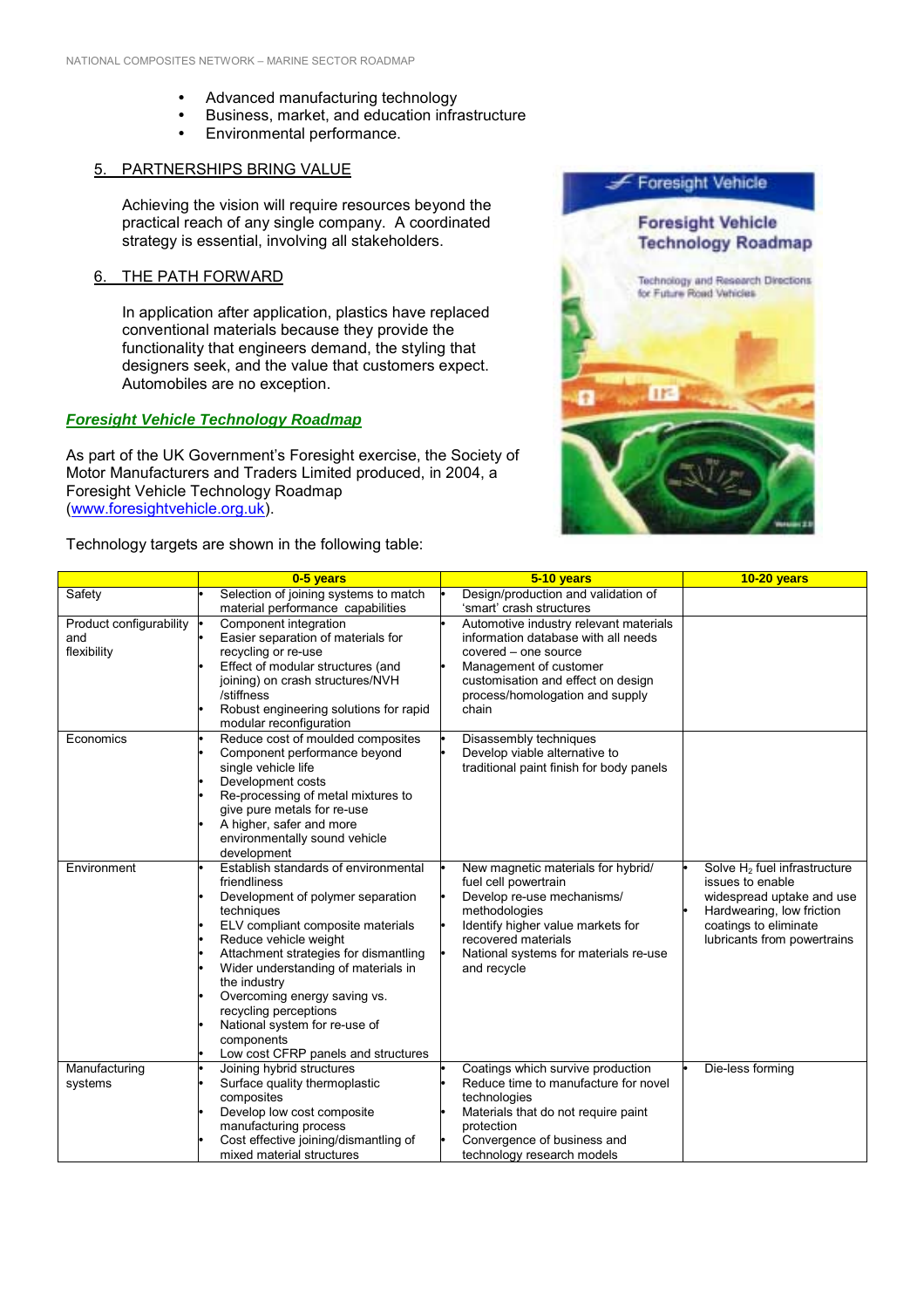- Advanced manufacturing technology
- ! Business, market, and education infrastructure
- ! Environmental performance.

#### 5. PARTNERSHIPS BRING VALUE

Achieving the vision will require resources beyond the practical reach of any single company. A coordinated strategy is essential, involving all stakeholders.

#### 6. THE PATH FORWARD

In application after application, plastics have replaced conventional materials because they provide the functionality that engineers demand, the styling that designers seek, and the value that customers expect. Automobiles are no exception.

## *Foresight Vehicle Technology Roadmap*

As part of the UK Government's Foresight exercise, the Society of Motor Manufacturers and Traders Limited produced, in 2004, a Foresight Vehicle Technology Roadmap (www.foresightvehicle.org.uk).

Technology targets are shown in the following table:



|                                | 0-5 years                                                                    | 5-10 years                                                                    | <b>10-20 years</b>                       |
|--------------------------------|------------------------------------------------------------------------------|-------------------------------------------------------------------------------|------------------------------------------|
| Safety                         | Selection of joining systems to match                                        | Design/production and validation of                                           |                                          |
|                                | material performance capabilities                                            | 'smart' crash structures                                                      |                                          |
| Product configurability<br>and | Component integration<br>Easier separation of materials for                  | Automotive industry relevant materials<br>information database with all needs |                                          |
| flexibility                    | recycling or re-use                                                          | covered - one source                                                          |                                          |
|                                | Effect of modular structures (and                                            | Management of customer                                                        |                                          |
|                                | joining) on crash structures/NVH                                             | customisation and effect on design                                            |                                          |
|                                | /stiffness                                                                   | process/homologation and supply                                               |                                          |
|                                | Robust engineering solutions for rapid                                       | chain                                                                         |                                          |
|                                | modular reconfiguration                                                      |                                                                               |                                          |
| Economics                      | Reduce cost of moulded composites                                            | Disassembly techniques                                                        |                                          |
|                                | Component performance beyond                                                 | Develop viable alternative to                                                 |                                          |
|                                | single vehicle life                                                          | traditional paint finish for body panels                                      |                                          |
|                                | Development costs                                                            |                                                                               |                                          |
|                                | Re-processing of metal mixtures to<br>give pure metals for re-use            |                                                                               |                                          |
|                                | A higher, safer and more                                                     |                                                                               |                                          |
|                                | environmentally sound vehicle                                                |                                                                               |                                          |
|                                | development                                                                  |                                                                               |                                          |
| Environment                    | Establish standards of environmental                                         | New magnetic materials for hybrid/                                            | Solve H <sub>2</sub> fuel infrastructure |
|                                | friendliness                                                                 | fuel cell powertrain                                                          | issues to enable                         |
|                                | Development of polymer separation                                            | Develop re-use mechanisms/                                                    | widespread uptake and use                |
|                                | techniques                                                                   | methodologies                                                                 | Hardwearing, low friction                |
|                                | ELV compliant composite materials                                            | Identify higher value markets for                                             | coatings to eliminate                    |
|                                | Reduce vehicle weight                                                        | recovered materials                                                           | lubricants from powertrains              |
|                                | Attachment strategies for dismantling<br>Wider understanding of materials in | National systems for materials re-use<br>and recycle                          |                                          |
|                                | the industry                                                                 |                                                                               |                                          |
|                                | Overcoming energy saving vs.                                                 |                                                                               |                                          |
|                                | recycling perceptions                                                        |                                                                               |                                          |
|                                | National system for re-use of                                                |                                                                               |                                          |
|                                | components                                                                   |                                                                               |                                          |
|                                | Low cost CFRP panels and structures                                          |                                                                               |                                          |
| Manufacturing                  | Joining hybrid structures                                                    | Coatings which survive production                                             | Die-less forming                         |
| systems                        | Surface quality thermoplastic                                                | Reduce time to manufacture for novel                                          |                                          |
|                                | composites                                                                   | technologies                                                                  |                                          |
|                                | Develop low cost composite<br>manufacturing process                          | Materials that do not require paint<br>protection                             |                                          |
|                                | Cost effective joining/dismantling of                                        | Convergence of business and                                                   |                                          |
|                                | mixed material structures                                                    | technology research models                                                    |                                          |
|                                |                                                                              |                                                                               |                                          |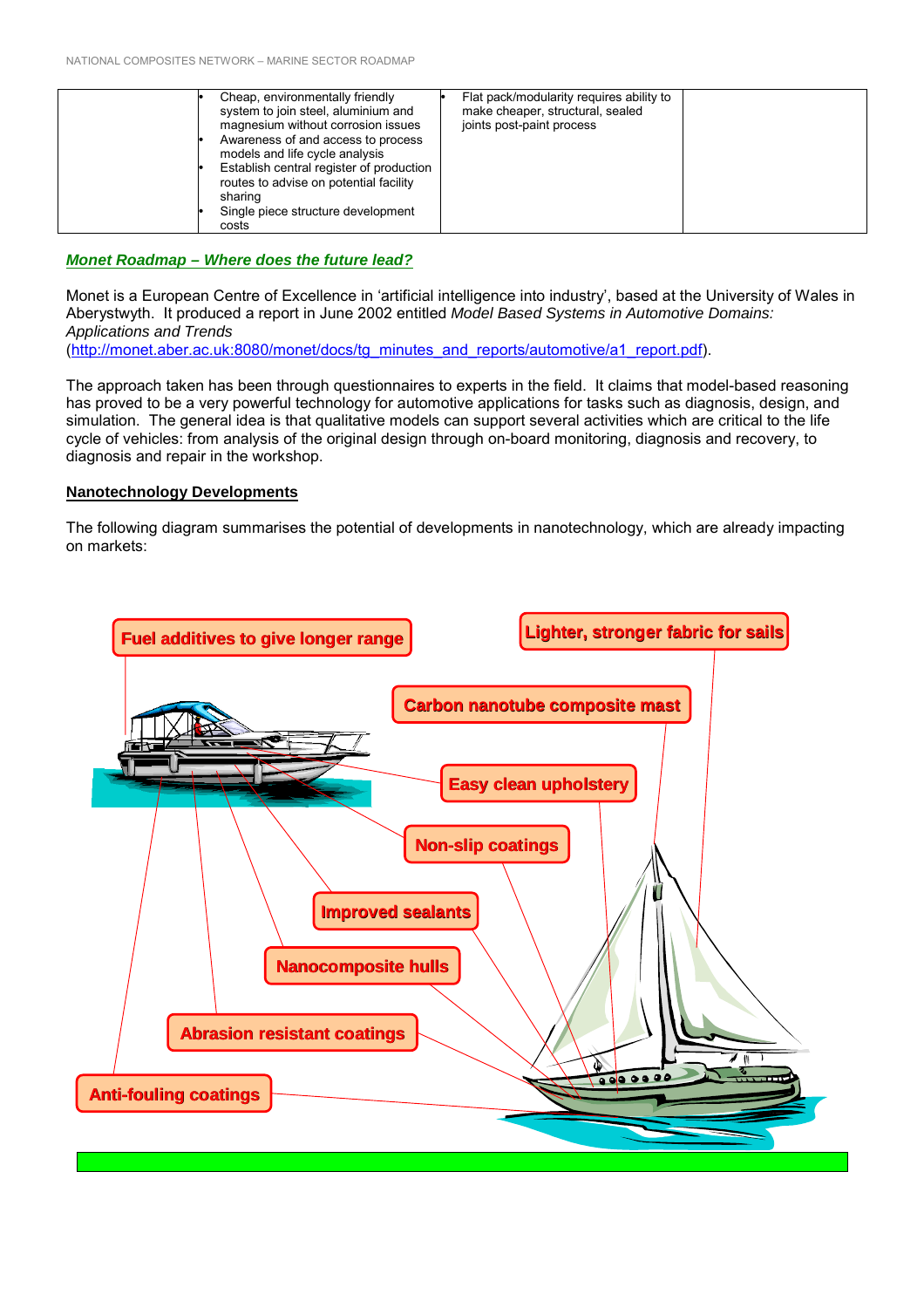| Cheap, environmentally friendly<br>system to join steel, aluminium and<br>magnesium without corrosion issues<br>Awareness of and access to process<br>models and life cycle analysis<br>Establish central register of production<br>routes to advise on potential facility<br>sharing<br>Single piece structure development<br>costs | Flat pack/modularity requires ability to<br>make cheaper, structural, sealed<br>joints post-paint process |
|--------------------------------------------------------------------------------------------------------------------------------------------------------------------------------------------------------------------------------------------------------------------------------------------------------------------------------------|-----------------------------------------------------------------------------------------------------------|
|--------------------------------------------------------------------------------------------------------------------------------------------------------------------------------------------------------------------------------------------------------------------------------------------------------------------------------------|-----------------------------------------------------------------------------------------------------------|

#### *Monet Roadmap – Where does the future lead?*

Monet is a European Centre of Excellence in 'artificial intelligence into industry', based at the University of Wales in Aberystwyth. It produced a report in June 2002 entitled *Model Based Systems in Automotive Domains: Applications and Trends* (http://monet.aber.ac.uk:8080/monet/docs/tg\_minutes\_and\_reports/automotive/a1\_report.pdf).

The approach taken has been through questionnaires to experts in the field. It claims that model-based reasoning has proved to be a very powerful technology for automotive applications for tasks such as diagnosis, design, and simulation. The general idea is that qualitative models can support several activities which are critical to the life cycle of vehicles: from analysis of the original design through on-board monitoring, diagnosis and recovery, to diagnosis and repair in the workshop.

#### **Nanotechnology Developments**

The following diagram summarises the potential of developments in nanotechnology, which are already impacting on markets:

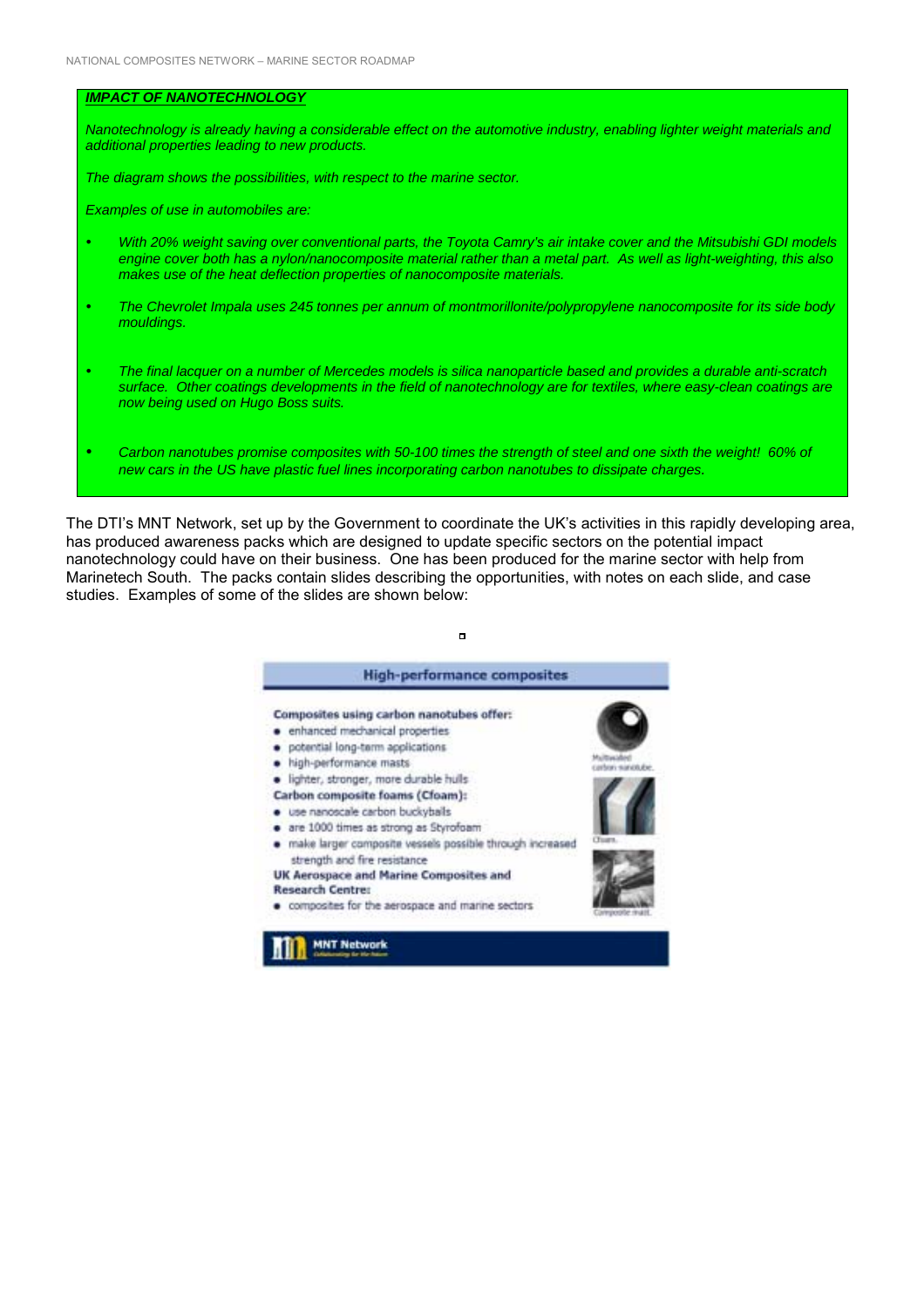#### *IMPACT OF NANOTECHNOLOGY*

*Nanotechnology is already having a considerable effect on the automotive industry, enabling lighter weight materials and additional properties leading to new products.*

*The diagram shows the possibilities, with respect to the marine sector.*

*Examples of use in automobiles are:*

- ! *With 20% weight saving over conventional parts, the Toyota Camry's air intake cover and the Mitsubishi GDI models engine cover both has a nylon/nanocomposite material rather than a metal part. As well as light-weighting, this also makes use of the heat deflection properties of nanocomposite materials.*
- ! *The Chevrolet Impala uses 245 tonnes per annum of montmorillonite/polypropylene nanocomposite for its side body mouldings.*
- ! *The final lacquer on a number of Mercedes models is silica nanoparticle based and provides a durable anti-scratch surface. Other coatings developments in the field of nanotechnology are for textiles, where easy-clean coatings are now being used on Hugo Boss suits.*
- ! *Carbon nanotubes promise composites with 50-100 times the strength of steel and one sixth the weight! 60% of new cars in the US have plastic fuel lines incorporating carbon nanotubes to dissipate charges.*

The DTI's MNT Network, set up by the Government to coordinate the UK's activities in this rapidly developing area, has produced awareness packs which are designed to update specific sectors on the potential impact nanotechnology could have on their business. One has been produced for the marine sector with help from Marinetech South. The packs contain slides describing the opportunities, with notes on each slide, and case studies. Examples of some of the slides are shown below:

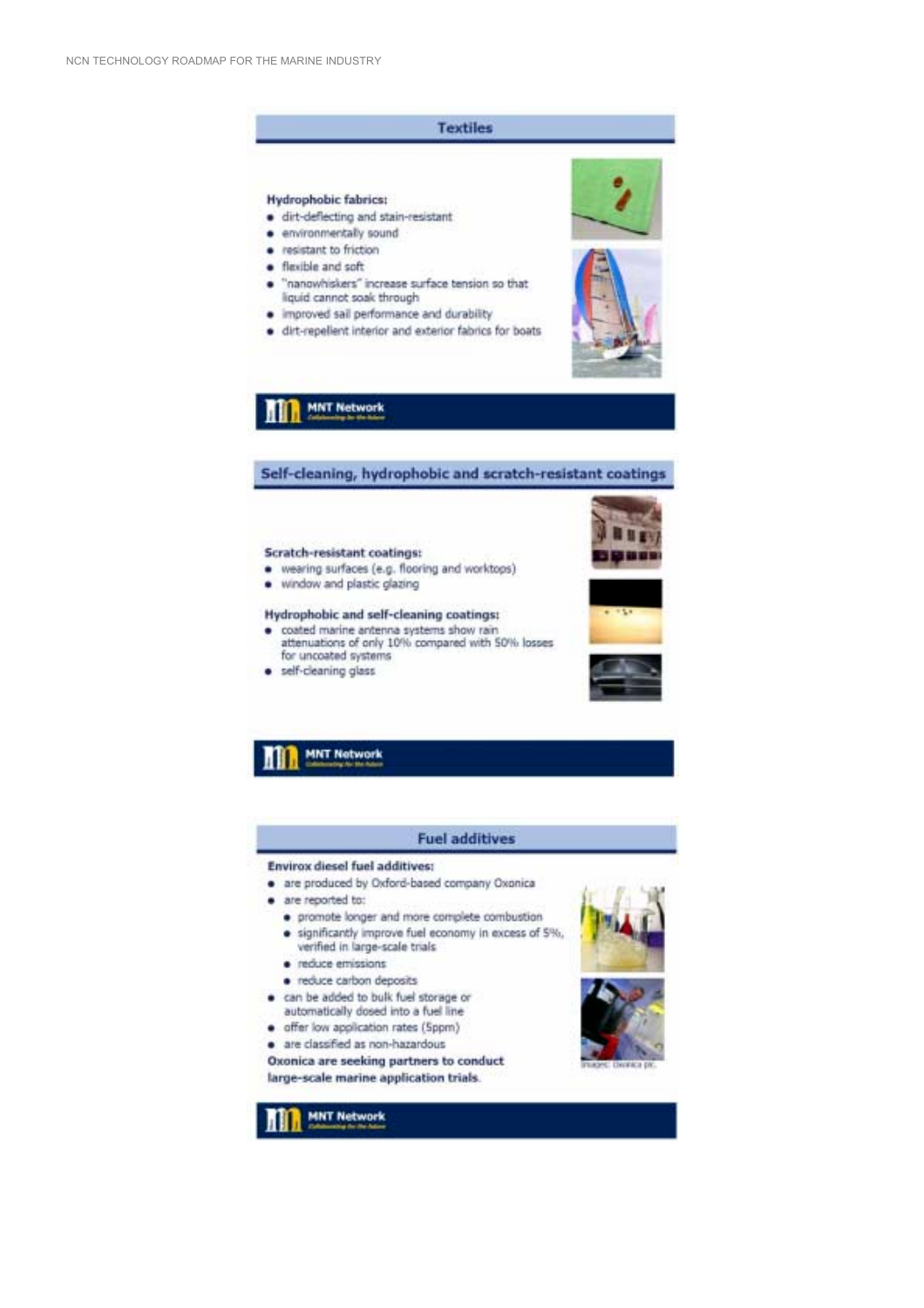## **Textiles**

#### **Hydrophobic fabrics:**

- · dirt-deflecting and stain-resistant
- · environmentally sound
- · resistant to friction
- · flexible and soft
- "nanowhiskers" increase surface tension so that ٠ liquid cannot soak through
- · improved sail performance and durability
- · dirt-repellent interior and exterior fabrics for boats





## **MNT Network**

#### Self-cleaning, hydrophobic and scratch-resistant coatings

#### **Scratch-resistant coatings:**

- · wearing surfaces (e.g. flooring and worktops)
- · window and plastic glazing

#### **Hydrophobic and self-cleaning coatings:**

- · coated marine antenna systems show rain attenuations of only 10% compared with 50% losses for uncoated systems
- · self-cleaning glass







# **MNT Network**

#### **Fuel additives**

#### **Envirox diesel fuel additives:**

- . are produced by Oxford-based company Oxonica
- · are reported to:
	- · promote longer and more complete combustion · significantly improve fuel economy in excess of 5%.
	- verified in large-scale trials · reduce emissions
	-
	- · reduce carbon deposits
- . can be added to bulk fuel storage or automatically dosed into a fuel line
- · offer low application rates (Sppm)
- · are classified as non-hazardous

Oxonica are seeking partners to conduct large-scale marine application trials.





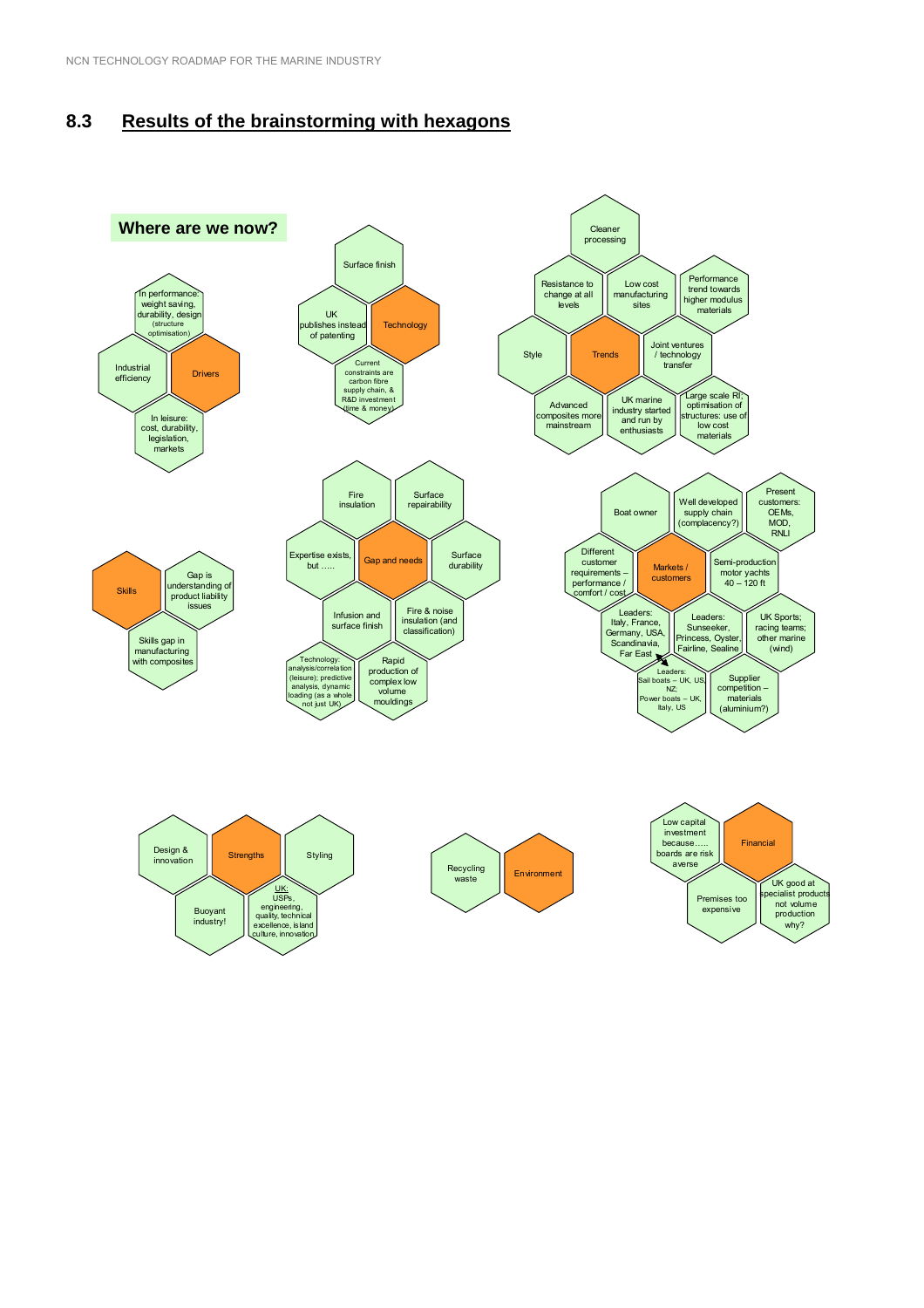## **8.3 Results of the brainstorming with hexagons**

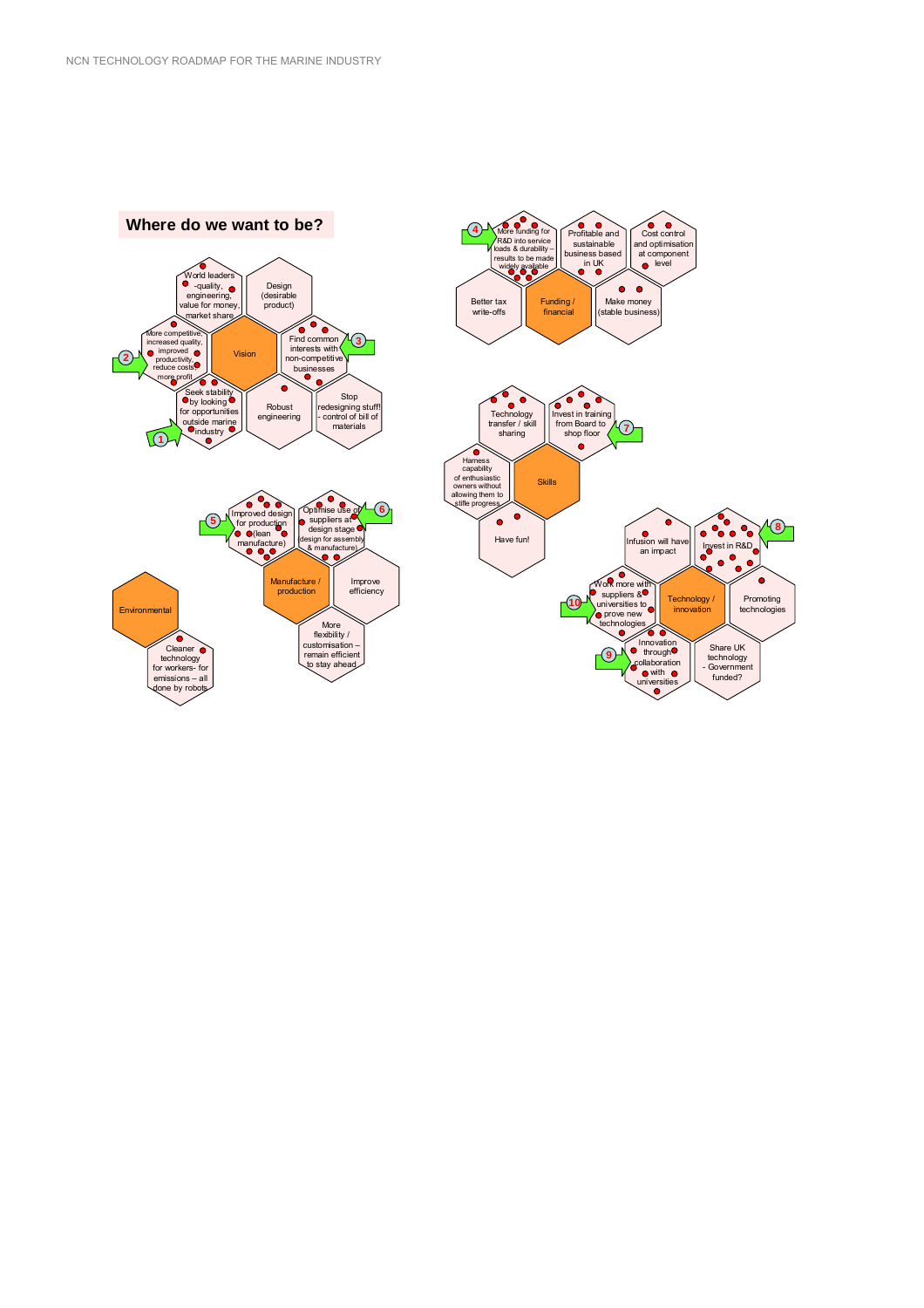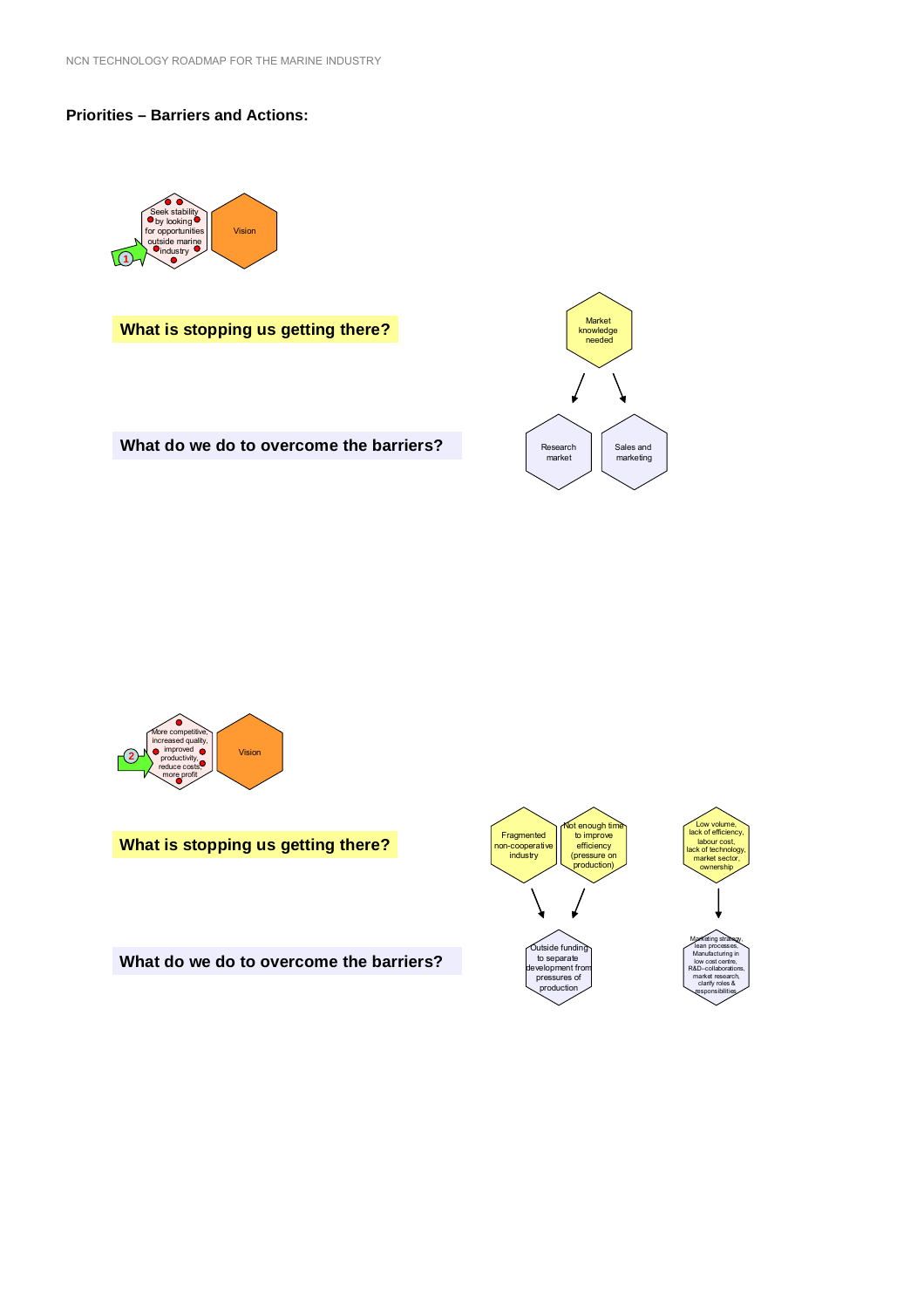#### **Priorities – Barriers and Actions:**



**What is stopping us getting there?**



What do we do to overcome the barriers?



**What is stopping us getting there?**

**What do we do to overcome the barriers?**

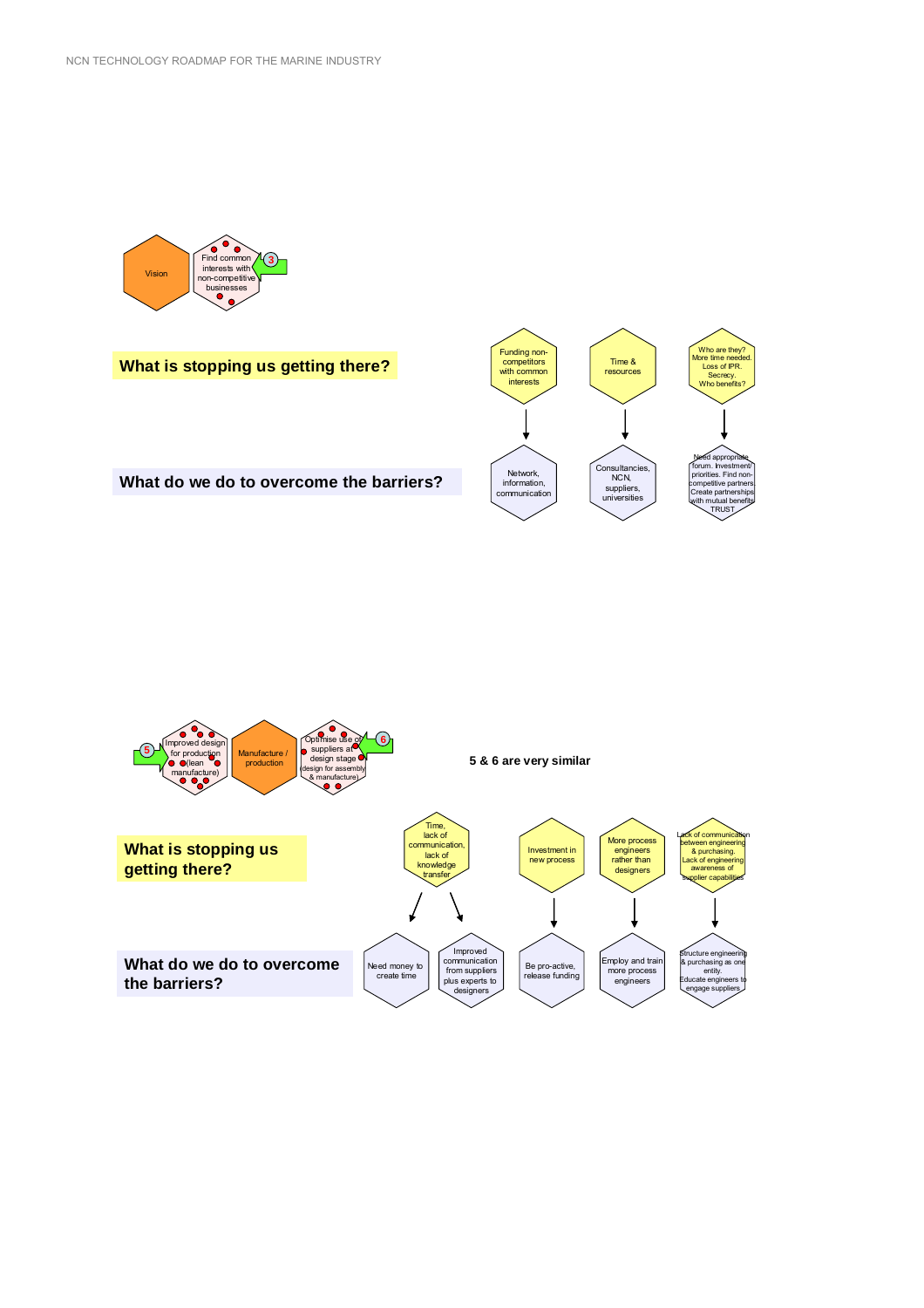